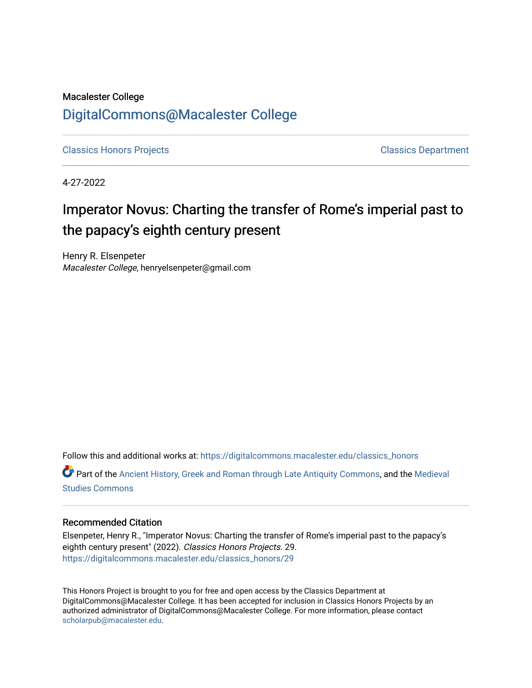### Macalester College [DigitalCommons@Macalester College](https://digitalcommons.macalester.edu/)

[Classics Honors Projects](https://digitalcommons.macalester.edu/classics_honors) [Classics Department](https://digitalcommons.macalester.edu/classics) 

4-27-2022

# Imperator Novus: Charting the transfer of Rome's imperial past to the papacy's eighth century present

Henry R. Elsenpeter Macalester College, henryelsenpeter@gmail.com

Follow this and additional works at: [https://digitalcommons.macalester.edu/classics\\_honors](https://digitalcommons.macalester.edu/classics_honors?utm_source=digitalcommons.macalester.edu%2Fclassics_honors%2F29&utm_medium=PDF&utm_campaign=PDFCoverPages) 

Part of the [Ancient History, Greek and Roman through Late Antiquity Commons](https://network.bepress.com/hgg/discipline/447?utm_source=digitalcommons.macalester.edu%2Fclassics_honors%2F29&utm_medium=PDF&utm_campaign=PDFCoverPages), and the [Medieval](https://network.bepress.com/hgg/discipline/480?utm_source=digitalcommons.macalester.edu%2Fclassics_honors%2F29&utm_medium=PDF&utm_campaign=PDFCoverPages) [Studies Commons](https://network.bepress.com/hgg/discipline/480?utm_source=digitalcommons.macalester.edu%2Fclassics_honors%2F29&utm_medium=PDF&utm_campaign=PDFCoverPages) 

#### Recommended Citation

Elsenpeter, Henry R., "Imperator Novus: Charting the transfer of Rome's imperial past to the papacy's eighth century present" (2022). Classics Honors Projects. 29. [https://digitalcommons.macalester.edu/classics\\_honors/29](https://digitalcommons.macalester.edu/classics_honors/29?utm_source=digitalcommons.macalester.edu%2Fclassics_honors%2F29&utm_medium=PDF&utm_campaign=PDFCoverPages)

This Honors Project is brought to you for free and open access by the Classics Department at DigitalCommons@Macalester College. It has been accepted for inclusion in Classics Honors Projects by an authorized administrator of DigitalCommons@Macalester College. For more information, please contact [scholarpub@macalester.edu](mailto:scholarpub@macalester.edu).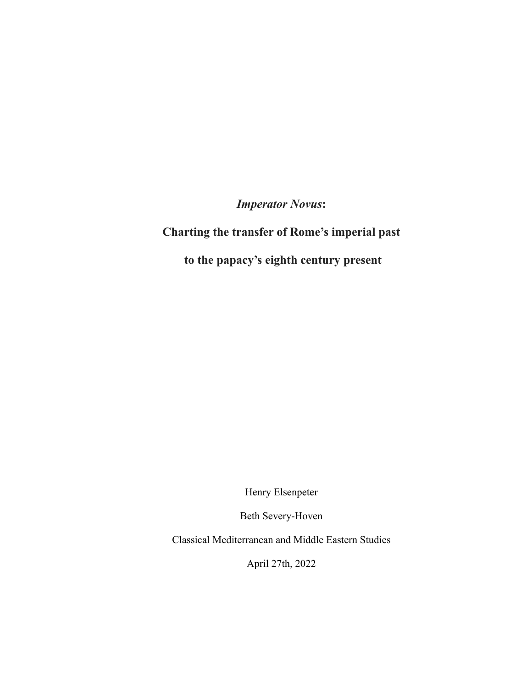*Imperator Novus***:**

## **Charting the transfer of Rome's imperial past**

**to the papacy's eighth century present**

Henry Elsenpeter

Beth Severy-Hoven

Classical Mediterranean and Middle Eastern Studies

April 27th, 2022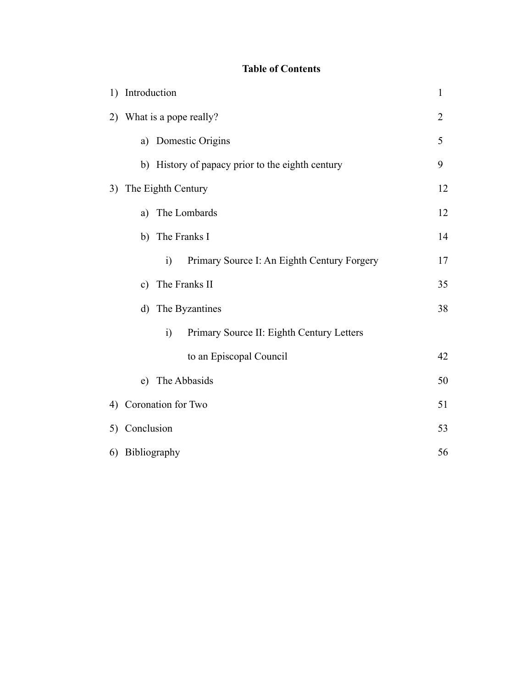### **Table of Contents**

| 1) | Introduction       |                                                         |                |
|----|--------------------|---------------------------------------------------------|----------------|
|    |                    | 2) What is a pope really?                               | $\overline{2}$ |
|    | a)                 | Domestic Origins                                        | 5              |
|    |                    | b) History of papacy prior to the eighth century        | 9              |
| 3) |                    | The Eighth Century                                      | 12             |
|    | a)                 | The Lombards                                            | 12             |
|    |                    | b) The Franks I                                         | 14             |
|    |                    | i)<br>Primary Source I: An Eighth Century Forgery       | 17             |
|    | $\mathbf{c})$      | The Franks II                                           | 35             |
|    | $\mathbf{d}$       | The Byzantines                                          | 38             |
|    |                    | Primary Source II: Eighth Century Letters<br>$\ddot{1}$ |                |
|    |                    | to an Episcopal Council                                 | 42             |
|    | e)                 | The Abbasids                                            | 50             |
| 4) | Coronation for Two |                                                         | 51             |
|    | 5) Conclusion      |                                                         |                |
|    | 6) Bibliography    |                                                         |                |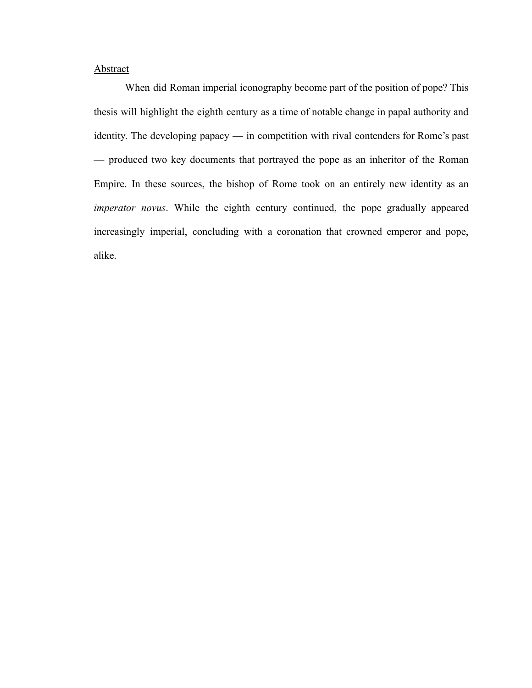#### **Abstract**

When did Roman imperial iconography become part of the position of pope? This thesis will highlight the eighth century as a time of notable change in papal authority and identity. The developing papacy — in competition with rival contenders for Rome's past — produced two key documents that portrayed the pope as an inheritor of the Roman Empire. In these sources, the bishop of Rome took on an entirely new identity as an *imperator novus*. While the eighth century continued, the pope gradually appeared increasingly imperial, concluding with a coronation that crowned emperor and pope, alike.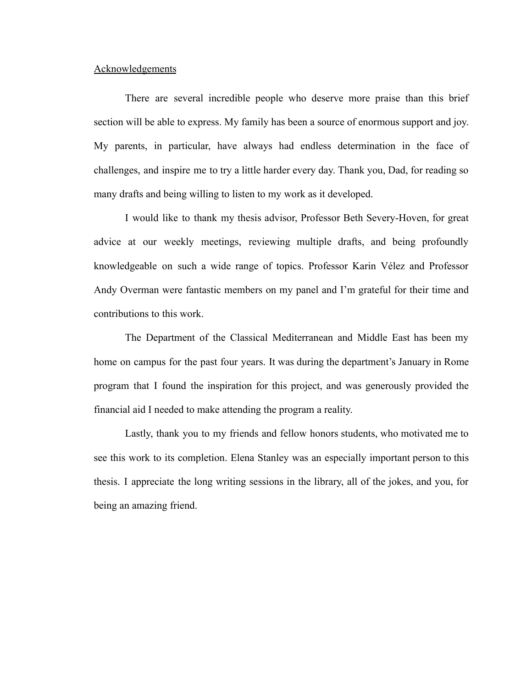#### Acknowledgements

There are several incredible people who deserve more praise than this brief section will be able to express. My family has been a source of enormous support and joy. My parents, in particular, have always had endless determination in the face of challenges, and inspire me to try a little harder every day. Thank you, Dad, for reading so many drafts and being willing to listen to my work as it developed.

I would like to thank my thesis advisor, Professor Beth Severy-Hoven, for great advice at our weekly meetings, reviewing multiple drafts, and being profoundly knowledgeable on such a wide range of topics. Professor Karin Vélez and Professor Andy Overman were fantastic members on my panel and I'm grateful for their time and contributions to this work.

The Department of the Classical Mediterranean and Middle East has been my home on campus for the past four years. It was during the department's January in Rome program that I found the inspiration for this project, and was generously provided the financial aid I needed to make attending the program a reality.

Lastly, thank you to my friends and fellow honors students, who motivated me to see this work to its completion. Elena Stanley was an especially important person to this thesis. I appreciate the long writing sessions in the library, all of the jokes, and you, for being an amazing friend.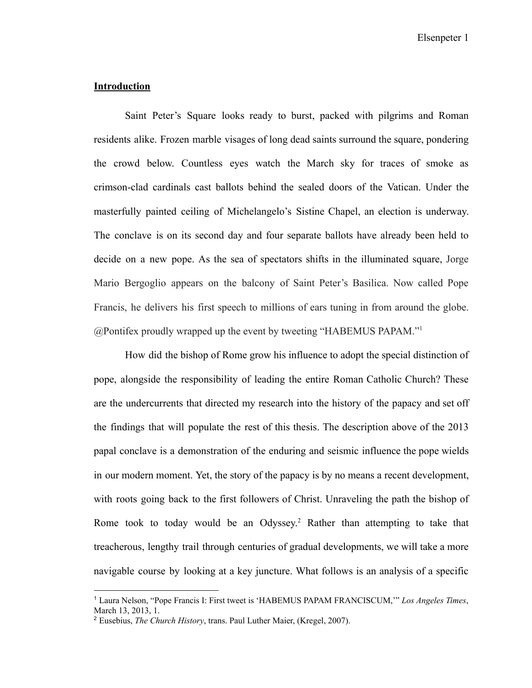Elsenpeter 1

#### **Introduction**

Saint Peter's Square looks ready to burst, packed with pilgrims and Roman residents alike. Frozen marble visages of long dead saints surround the square, pondering the crowd below. Countless eyes watch the March sky for traces of smoke as crimson-clad cardinals cast ballots behind the sealed doors of the Vatican. Under the masterfully painted ceiling of Michelangelo's Sistine Chapel, an election is underway. The conclave is on its second day and four separate ballots have already been held to decide on a new pope. As the sea of spectators shifts in the illuminated square, Jorge Mario Bergoglio appears on the balcony of Saint Peter's Basilica. Now called Pope Francis, he delivers his first speech to millions of ears tuning in from around the globe. @Pontifex proudly wrapped up the event by tweeting "HABEMUS PAPAM."<sup>1</sup>

How did the bishop of Rome grow his influence to adopt the special distinction of pope, alongside the responsibility of leading the entire Roman Catholic Church? These are the undercurrents that directed my research into the history of the papacy and set off the findings that will populate the rest of this thesis. The description above of the 2013 papal conclave is a demonstration of the enduring and seismic influence the pope wields in our modern moment. Yet, the story of the papacy is by no means a recent development, with roots going back to the first followers of Christ. Unraveling the path the bishop of Rome took to today would be an Odyssey.<sup>2</sup> Rather than attempting to take that treacherous, lengthy trail through centuries of gradual developments, we will take a more navigable course by looking at a key juncture. What follows is an analysis of a specific

<sup>1</sup> Laura Nelson, "Pope Francis I: First tweet is 'HABEMUS PAPAM FRANCISCUM,'" *Los Angeles Times*, March 13, 2013, 1.

<sup>2</sup> Eusebius, *The Church History*, trans. Paul Luther Maier, (Kregel, 2007).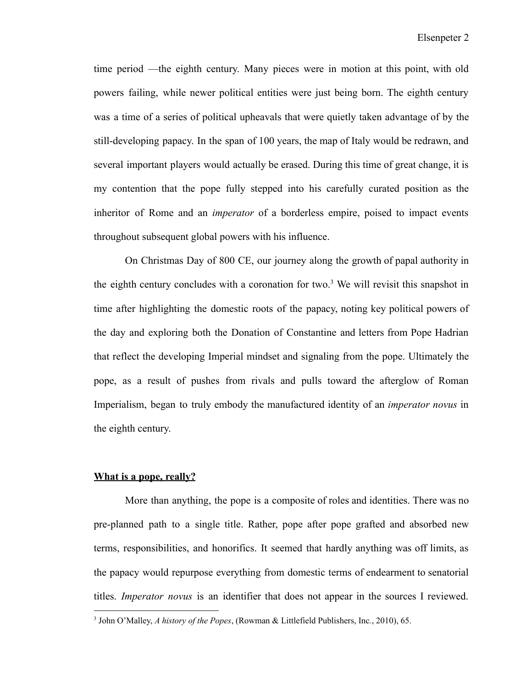time period —the eighth century. Many pieces were in motion at this point, with old powers failing, while newer political entities were just being born. The eighth century was a time of a series of political upheavals that were quietly taken advantage of by the still-developing papacy. In the span of 100 years, the map of Italy would be redrawn, and several important players would actually be erased. During this time of great change, it is my contention that the pope fully stepped into his carefully curated position as the inheritor of Rome and an *imperator* of a borderless empire, poised to impact events throughout subsequent global powers with his influence.

On Christmas Day of 800 CE, our journey along the growth of papal authority in the eighth century concludes with a coronation for two.<sup>3</sup> We will revisit this snapshot in time after highlighting the domestic roots of the papacy, noting key political powers of the day and exploring both the Donation of Constantine and letters from Pope Hadrian that reflect the developing Imperial mindset and signaling from the pope. Ultimately the pope, as a result of pushes from rivals and pulls toward the afterglow of Roman Imperialism, began to truly embody the manufactured identity of an *imperator novus* in the eighth century.

#### **What is a pope, really?**

More than anything, the pope is a composite of roles and identities. There was no pre-planned path to a single title. Rather, pope after pope grafted and absorbed new terms, responsibilities, and honorifics. It seemed that hardly anything was off limits, as the papacy would repurpose everything from domestic terms of endearment to senatorial titles. *Imperator novus* is an identifier that does not appear in the sources I reviewed.

<sup>3</sup> John O'Malley, *A history of the Popes*, (Rowman & Littlefield Publishers, Inc*.*, 2010), 65.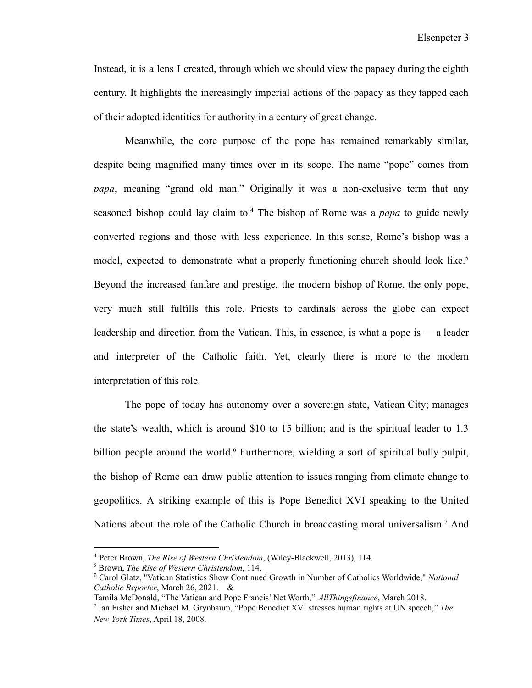Instead, it is a lens I created, through which we should view the papacy during the eighth century. It highlights the increasingly imperial actions of the papacy as they tapped each of their adopted identities for authority in a century of great change.

Meanwhile, the core purpose of the pope has remained remarkably similar, despite being magnified many times over in its scope. The name "pope" comes from *papa*, meaning "grand old man." Originally it was a non-exclusive term that any seasoned bishop could lay claim to.<sup>4</sup> The bishop of Rome was a *papa* to guide newly converted regions and those with less experience. In this sense, Rome's bishop was a model, expected to demonstrate what a properly functioning church should look like.<sup>5</sup> Beyond the increased fanfare and prestige, the modern bishop of Rome, the only pope, very much still fulfills this role. Priests to cardinals across the globe can expect leadership and direction from the Vatican. This, in essence, is what a pope is — a leader and interpreter of the Catholic faith. Yet, clearly there is more to the modern interpretation of this role.

The pope of today has autonomy over a sovereign state, Vatican City; manages the state's wealth, which is around \$10 to 15 billion; and is the spiritual leader to 1.3 billion people around the world.<sup>6</sup> Furthermore, wielding a sort of spiritual bully pulpit, the bishop of Rome can draw public attention to issues ranging from climate change to geopolitics. A striking example of this is Pope Benedict XVI speaking to the United Nations about the role of the Catholic Church in broadcasting moral universalism.<sup>7</sup> And

<sup>4</sup> Peter Brown, *The Rise of Western Christendom*, (Wiley-Blackwell, 2013), 114.

<sup>5</sup> Brown, *The Rise of Western Christendom*, 114.

<sup>6</sup> Carol Glatz, "Vatican Statistics Show Continued Growth in Number of Catholics Worldwide," *National Catholic Reporter*, March 26, 2021. &

<sup>7</sup> Ian Fisher and Michael M. Grynbaum, "Pope Benedict XVI stresses human rights at UN speech," *The New York Times*, April 18, 2008. Tamila McDonald, "The Vatican and Pope Francis' Net Worth," *AllThingsfinance*, March 2018.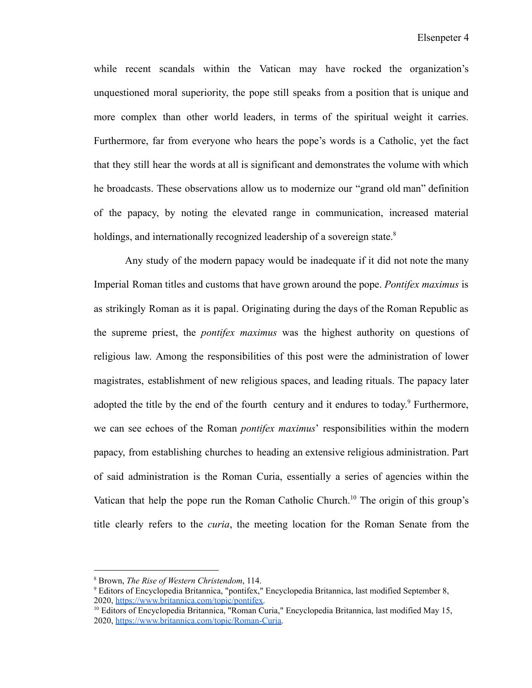while recent scandals within the Vatican may have rocked the organization's unquestioned moral superiority, the pope still speaks from a position that is unique and more complex than other world leaders, in terms of the spiritual weight it carries. Furthermore, far from everyone who hears the pope's words is a Catholic, yet the fact that they still hear the words at all is significant and demonstrates the volume with which he broadcasts. These observations allow us to modernize our "grand old man" definition of the papacy, by noting the elevated range in communication, increased material holdings, and internationally recognized leadership of a sovereign state.<sup>8</sup>

Any study of the modern papacy would be inadequate if it did not note the many Imperial Roman titles and customs that have grown around the pope. *Pontifex maximus* is as strikingly Roman as it is papal. Originating during the days of the Roman Republic as the supreme priest, the *pontifex maximus* was the highest authority on questions of religious law. Among the responsibilities of this post were the administration of lower magistrates, establishment of new religious spaces, and leading rituals. The papacy later adopted the title by the end of the fourth century and it endures to today.<sup>9</sup> Furthermore, we can see echoes of the Roman *pontifex maximus*' responsibilities within the modern papacy, from establishing churches to heading an extensive religious administration. Part of said administration is the Roman Curia, essentially a series of agencies within the Vatican that help the pope run the Roman Catholic Church.<sup>10</sup> The origin of this group's title clearly refers to the *curia*, the meeting location for the Roman Senate from the

<sup>8</sup> Brown, *The Rise of Western Christendom*, 114.

<sup>9</sup> Editors of Encyclopedia Britannica, "pontifex," Encyclopedia Britannica, last modified September 8, 2020, [https://www.britannica.com/topic/pontifex.](https://www.britannica.com/topic/pontifex)

<sup>&</sup>lt;sup>10</sup> Editors of Encyclopedia Britannica, "Roman Curia," Encyclopedia Britannica, last modified May 15, 2020, [https://www.britannica.com/topic/Roman-Curia.](https://www.britannica.com/topic/Roman-Curia)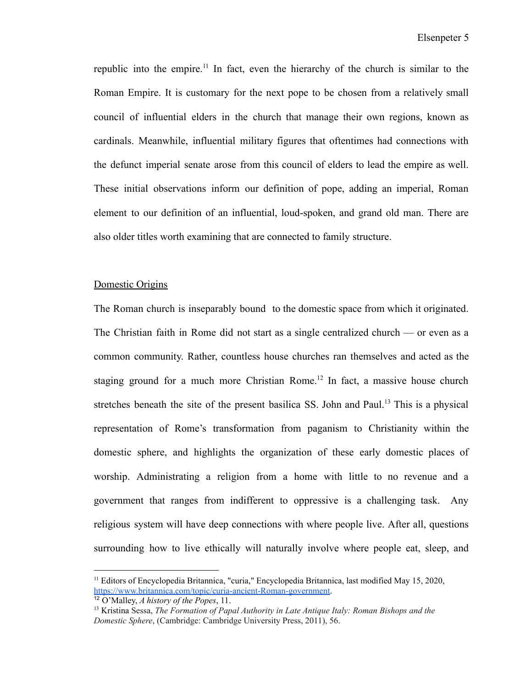republic into the empire.<sup>11</sup> In fact, even the hierarchy of the church is similar to the Roman Empire. It is customary for the next pope to be chosen from a relatively small council of influential elders in the church that manage their own regions, known as cardinals. Meanwhile, influential military figures that oftentimes had connections with the defunct imperial senate arose from this council of elders to lead the empire as well. These initial observations inform our definition of pope, adding an imperial, Roman element to our definition of an influential, loud-spoken, and grand old man. There are also older titles worth examining that are connected to family structure.

#### Domestic Origins

The Roman church is inseparably bound to the domestic space from which it originated. The Christian faith in Rome did not start as a single centralized church — or even as a common community. Rather, countless house churches ran themselves and acted as the staging ground for a much more Christian Rome.<sup>12</sup> In fact, a massive house church stretches beneath the site of the present basilica SS. John and Paul.<sup>13</sup> This is a physical representation of Rome's transformation from paganism to Christianity within the domestic sphere, and highlights the organization of these early domestic places of worship. Administrating a religion from a home with little to no revenue and a government that ranges from indifferent to oppressive is a challenging task. Any religious system will have deep connections with where people live. After all, questions surrounding how to live ethically will naturally involve where people eat, sleep, and

<sup>&</sup>lt;sup>11</sup> Editors of Encyclopedia Britannica, "curia," Encyclopedia Britannica, last modified May 15, 2020, [https://www.britannica.com/topic/curia-ancient-Roman-government.](https://www.britannica.com/topic/curia-ancient-Roman-government)

<sup>12</sup> O'Malley, *A history of the Popes*, 11.

<sup>13</sup> Kristina Sessa, *The Formation of Papal Authority in Late Antique Italy: Roman Bishops and the Domestic Sphere*, (Cambridge: Cambridge University Press, 2011), 56.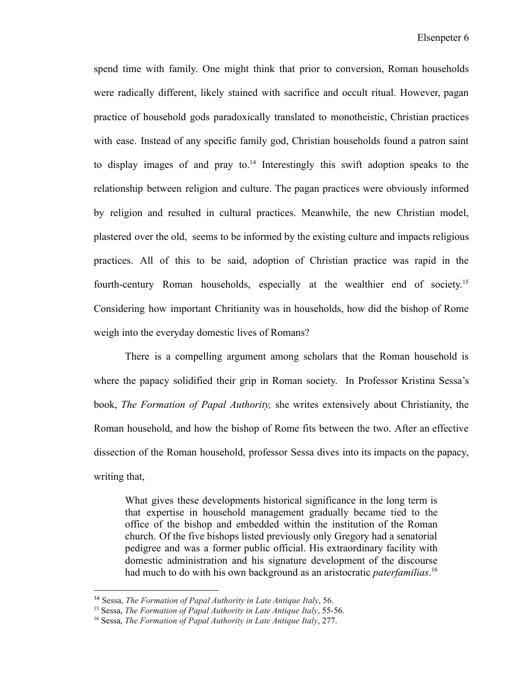spend time with family. One might think that prior to conversion, Roman households were radically different, likely stained with sacrifice and occult ritual. However, pagan practice of household gods paradoxically translated to monotheistic, Christian practices with ease. Instead of any specific family god, Christian households found a patron saint to display images of and pray to. $14$  Interestingly this swift adoption speaks to the relationship between religion and culture. The pagan practices were obviously informed by religion and resulted in cultural practices. Meanwhile, the new Christian model, plastered over the old, seems to be informed by the existing culture and impacts religious practices. All of this to be said, adoption of Christian practice was rapid in the fourth-century Roman households, especially at the wealthier end of society.<sup>15</sup> Considering how important Chritianity was in households, how did the bishop of Rome weigh into the everyday domestic lives of Romans?

There is a compelling argument among scholars that the Roman household is where the papacy solidified their grip in Roman society. In Professor Kristina Sessa's book, *The Formation of Papal Authority,* she writes extensively about Christianity, the Roman household, and how the bishop of Rome fits between the two. After an effective dissection of the Roman household, professor Sessa dives into its impacts on the papacy, writing that,

What gives these developments historical significance in the long term is that expertise in household management gradually became tied to the office of the bishop and embedded within the institution of the Roman church. Of the five bishops listed previously only Gregory had a senatorial pedigree and was a former public official. His extraordinary facility with domestic administration and his signature development of the discourse had much to do with his own background as an aristocratic *paterfamilias*. 16

<sup>14</sup> Sessa, *The Formation of Papal Authority in Late Antique Italy*, 56.

<sup>15</sup> Sessa, *The Formation of Papal Authority in Late Antique Italy*, 55-56.

<sup>16</sup> Sessa, *The Formation of Papal Authority in Late Antique Italy*, 277.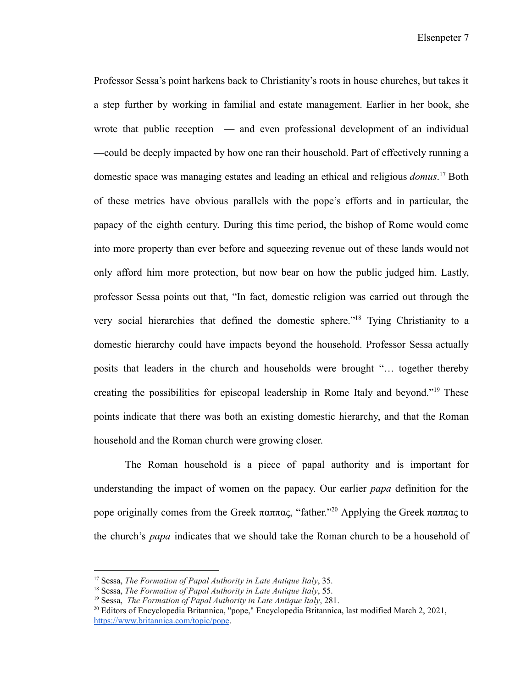Elsenpeter 7

Professor Sessa's point harkens back to Christianity's roots in house churches, but takes it a step further by working in familial and estate management. Earlier in her book, she wrote that public reception — and even professional development of an individual —could be deeply impacted by how one ran their household. Part of effectively running a domestic space was managing estates and leading an ethical and religious *domus*. <sup>17</sup> Both of these metrics have obvious parallels with the pope's efforts and in particular, the papacy of the eighth century. During this time period, the bishop of Rome would come into more property than ever before and squeezing revenue out of these lands would not only afford him more protection, but now bear on how the public judged him. Lastly, professor Sessa points out that, "In fact, domestic religion was carried out through the very social hierarchies that defined the domestic sphere."<sup>18</sup> Tying Christianity to a domestic hierarchy could have impacts beyond the household. Professor Sessa actually posits that leaders in the church and households were brought "… together thereby creating the possibilities for episcopal leadership in Rome Italy and beyond."<sup>19</sup> These points indicate that there was both an existing domestic hierarchy, and that the Roman household and the Roman church were growing closer.

The Roman household is a piece of papal authority and is important for understanding the impact of women on the papacy. Our earlier *papa* definition for the pope originally comes from the Greek παππας, "father."<sup>20</sup> Applying the Greek παππας to the church's *papa* indicates that we should take the Roman church to be a household of

<sup>17</sup> Sessa, *The Formation of Papal Authority in Late Antique Italy*, 35.

<sup>18</sup> Sessa, *The Formation of Papal Authority in Late Antique Italy*, 55.

<sup>19</sup> Sessa, *The Formation of Papal Authority in Late Antique Italy*, 281.

<sup>20</sup> Editors of Encyclopedia Britannica, "pope," Encyclopedia Britannica, last modified March 2, 2021, [https://www.britannica.com/topic/pope.](https://www.britannica.com/topic/pope)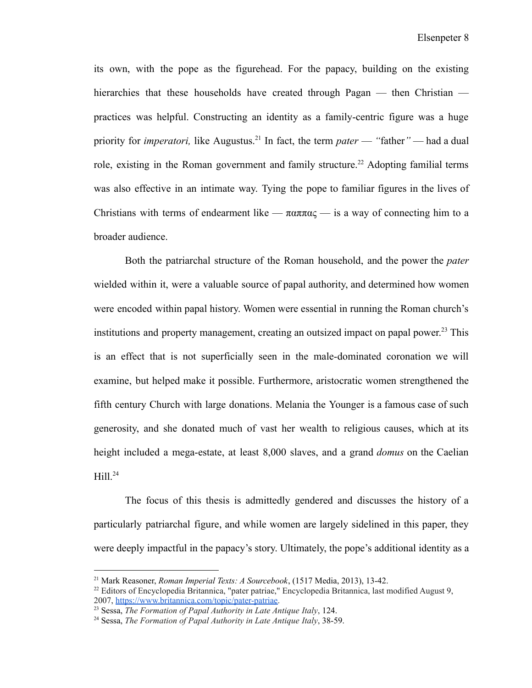its own, with the pope as the figurehead. For the papacy, building on the existing hierarchies that these households have created through Pagan — then Christian practices was helpful. Constructing an identity as a family-centric figure was a huge priority for *imperatori*, like Augustus.<sup>21</sup> In fact, the term *pater* — "father" — had a dual role, existing in the Roman government and family structure.<sup>22</sup> Adopting familial terms was also effective in an intimate way. Tying the pope to familiar figures in the lives of Christians with terms of endearment like —  $\pi \alpha \pi \alpha \zeta$  — is a way of connecting him to a broader audience.

Both the patriarchal structure of the Roman household, and the power the *pater* wielded within it, were a valuable source of papal authority, and determined how women were encoded within papal history. Women were essential in running the Roman church's institutions and property management, creating an outsized impact on papal power. <sup>23</sup> This is an effect that is not superficially seen in the male-dominated coronation we will examine, but helped make it possible. Furthermore, aristocratic women strengthened the fifth century Church with large donations. Melania the Younger is a famous case of such generosity, and she donated much of vast her wealth to religious causes, which at its height included a mega-estate, at least 8,000 slaves, and a grand *domus* on the Caelian  $Hill.<sup>24</sup>$ 

The focus of this thesis is admittedly gendered and discusses the history of a particularly patriarchal figure, and while women are largely sidelined in this paper, they were deeply impactful in the papacy's story. Ultimately, the pope's additional identity as a

<sup>21</sup> Mark Reasoner, *Roman Imperial Texts: A Sourcebook*, (1517 Media, 2013), 13-42.

 $^{22}$  Editors of Encyclopedia Britannica, "pater patriae," Encyclopedia Britannica, last modified August 9, 2007, [https://www.britannica.com/topic/pater-patriae.](https://www.britannica.com/topic/pater-patriae)

<sup>23</sup> Sessa, *The Formation of Papal Authority in Late Antique Italy*, 124.

<sup>24</sup> Sessa, *The Formation of Papal Authority in Late Antique Italy*, 38-59.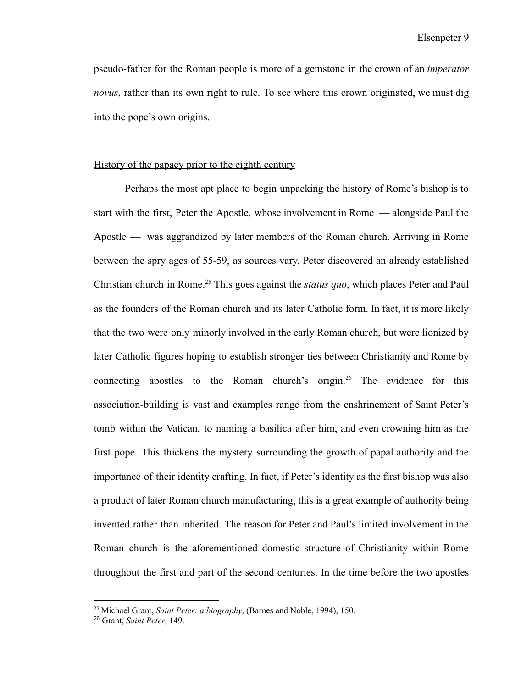Elsenpeter 9

pseudo-father for the Roman people is more of a gemstone in the crown of an *imperator novus*, rather than its own right to rule. To see where this crown originated, we must dig into the pope's own origins.

#### History of the papacy prior to the eighth century

Perhaps the most apt place to begin unpacking the history of Rome's bishop is to start with the first, Peter the Apostle, whose involvement in Rome — alongside Paul the Apostle — was aggrandized by later members of the Roman church. Arriving in Rome between the spry ages of 55-59, as sources vary, Peter discovered an already established Christian church in Rome.<sup>25</sup> This goes against the *status quo*, which places Peter and Paul as the founders of the Roman church and its later Catholic form. In fact, it is more likely that the two were only minorly involved in the early Roman church, but were lionized by later Catholic figures hoping to establish stronger ties between Christianity and Rome by connecting apostles to the Roman church's origin.<sup>26</sup> The evidence for this association-building is vast and examples range from the enshrinement of Saint Peter's tomb within the Vatican, to naming a basilica after him, and even crowning him as the first pope. This thickens the mystery surrounding the growth of papal authority and the importance of their identity crafting. In fact, if Peter's identity as the first bishop was also a product of later Roman church manufacturing, this is a great example of authority being invented rather than inherited. The reason for Peter and Paul's limited involvement in the Roman church is the aforementioned domestic structure of Christianity within Rome throughout the first and part of the second centuries. In the time before the two apostles

<sup>25</sup> Michael Grant, *Saint Peter: a biography*, (Barnes and Noble, 1994), 150.

<sup>26</sup> Grant, *Saint Peter*, 149.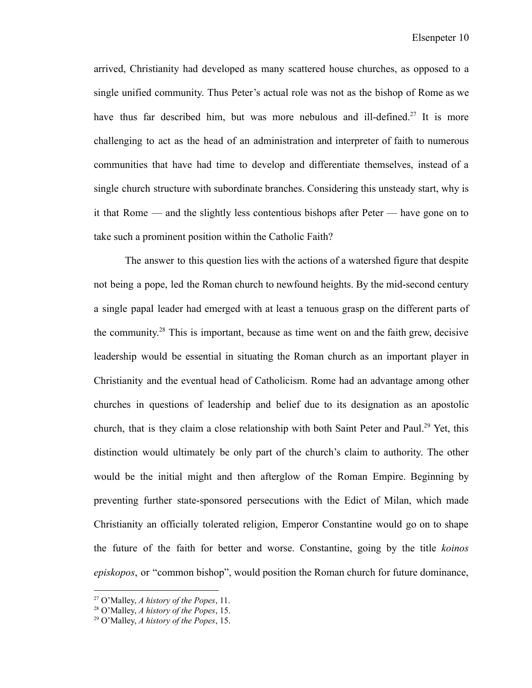arrived, Christianity had developed as many scattered house churches, as opposed to a single unified community. Thus Peter's actual role was not as the bishop of Rome as we have thus far described him, but was more nebulous and ill-defined.<sup>27</sup> It is more challenging to act as the head of an administration and interpreter of faith to numerous communities that have had time to develop and differentiate themselves, instead of a single church structure with subordinate branches. Considering this unsteady start, why is it that Rome — and the slightly less contentious bishops after Peter — have gone on to take such a prominent position within the Catholic Faith?

The answer to this question lies with the actions of a watershed figure that despite not being a pope, led the Roman church to newfound heights. By the mid-second century a single papal leader had emerged with at least a tenuous grasp on the different parts of the community. <sup>28</sup> This is important, because as time went on and the faith grew, decisive leadership would be essential in situating the Roman church as an important player in Christianity and the eventual head of Catholicism. Rome had an advantage among other churches in questions of leadership and belief due to its designation as an apostolic church, that is they claim a close relationship with both Saint Peter and Paul.<sup>29</sup> Yet, this distinction would ultimately be only part of the church's claim to authority. The other would be the initial might and then afterglow of the Roman Empire. Beginning by preventing further state-sponsored persecutions with the Edict of Milan, which made Christianity an officially tolerated religion, Emperor Constantine would go on to shape the future of the faith for better and worse. Constantine, going by the title *koinos episkopos*, or "common bishop", would position the Roman church for future dominance,

<sup>27</sup> O'Malley, *A history of the Popes*, 11.

<sup>28</sup> O'Malley, *A history of the Popes*, 15.

<sup>29</sup> O'Malley, *A history of the Popes*, 15.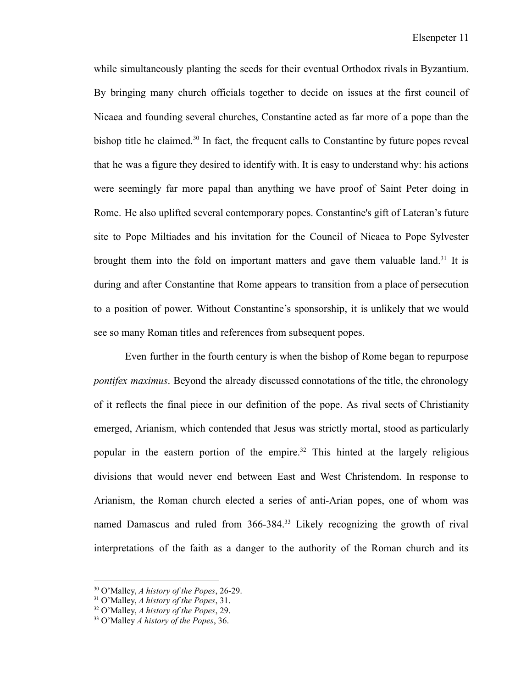while simultaneously planting the seeds for their eventual Orthodox rivals in Byzantium. By bringing many church officials together to decide on issues at the first council of Nicaea and founding several churches, Constantine acted as far more of a pope than the bishop title he claimed.<sup>30</sup> In fact, the frequent calls to Constantine by future popes reveal that he was a figure they desired to identify with. It is easy to understand why: his actions were seemingly far more papal than anything we have proof of Saint Peter doing in Rome. He also uplifted several contemporary popes. Constantine's gift of Lateran's future site to Pope Miltiades and his invitation for the Council of Nicaea to Pope Sylvester brought them into the fold on important matters and gave them valuable land.<sup>31</sup> It is during and after Constantine that Rome appears to transition from a place of persecution to a position of power. Without Constantine's sponsorship, it is unlikely that we would see so many Roman titles and references from subsequent popes.

Even further in the fourth century is when the bishop of Rome began to repurpose *pontifex maximus*. Beyond the already discussed connotations of the title, the chronology of it reflects the final piece in our definition of the pope. As rival sects of Christianity emerged, Arianism, which contended that Jesus was strictly mortal, stood as particularly popular in the eastern portion of the empire.<sup>32</sup> This hinted at the largely religious divisions that would never end between East and West Christendom. In response to Arianism, the Roman church elected a series of anti-Arian popes, one of whom was named Damascus and ruled from 366-384.<sup>33</sup> Likely recognizing the growth of rival interpretations of the faith as a danger to the authority of the Roman church and its

<sup>30</sup> O'Malley, *A history of the Popes*, 26-29.

<sup>31</sup> O'Malley, *A history of the Popes*, 31.

<sup>32</sup> O'Malley, *A history of the Popes*, 29.

<sup>33</sup> O'Malley *A history of the Popes*, 36.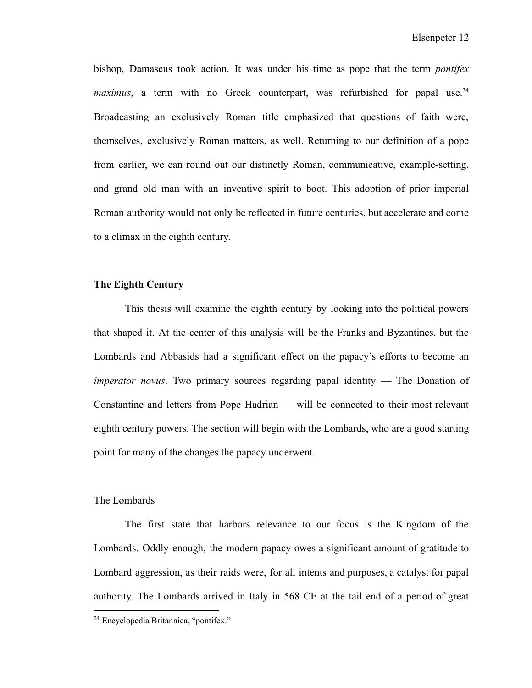bishop, Damascus took action. It was under his time as pope that the term *pontifex maximus*, a term with no Greek counterpart, was refurbished for papal use.<sup>34</sup> Broadcasting an exclusively Roman title emphasized that questions of faith were, themselves, exclusively Roman matters, as well. Returning to our definition of a pope from earlier, we can round out our distinctly Roman, communicative, example-setting, and grand old man with an inventive spirit to boot. This adoption of prior imperial Roman authority would not only be reflected in future centuries, but accelerate and come to a climax in the eighth century.

#### **The Eighth Century**

This thesis will examine the eighth century by looking into the political powers that shaped it. At the center of this analysis will be the Franks and Byzantines, but the Lombards and Abbasids had a significant effect on the papacy's efforts to become an *imperator novus*. Two primary sources regarding papal identity — The Donation of Constantine and letters from Pope Hadrian — will be connected to their most relevant eighth century powers. The section will begin with the Lombards, who are a good starting point for many of the changes the papacy underwent.

#### The Lombards

The first state that harbors relevance to our focus is the Kingdom of the Lombards. Oddly enough, the modern papacy owes a significant amount of gratitude to Lombard aggression, as their raids were, for all intents and purposes, a catalyst for papal authority. The Lombards arrived in Italy in 568 CE at the tail end of a period of great

<sup>34</sup> Encyclopedia Britannica, "pontifex."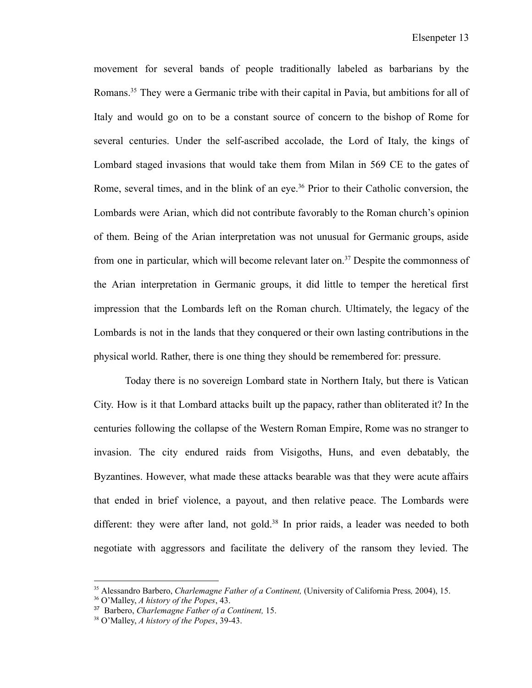movement for several bands of people traditionally labeled as barbarians by the Romans.<sup>35</sup> They were a Germanic tribe with their capital in Pavia, but ambitions for all of Italy and would go on to be a constant source of concern to the bishop of Rome for several centuries. Under the self-ascribed accolade, the Lord of Italy, the kings of Lombard staged invasions that would take them from Milan in 569 CE to the gates of Rome, several times, and in the blink of an eye.<sup>36</sup> Prior to their Catholic conversion, the Lombards were Arian, which did not contribute favorably to the Roman church's opinion of them. Being of the Arian interpretation was not unusual for Germanic groups, aside from one in particular, which will become relevant later on.<sup>37</sup> Despite the commonness of the Arian interpretation in Germanic groups, it did little to temper the heretical first impression that the Lombards left on the Roman church. Ultimately, the legacy of the Lombards is not in the lands that they conquered or their own lasting contributions in the physical world. Rather, there is one thing they should be remembered for: pressure.

Today there is no sovereign Lombard state in Northern Italy, but there is Vatican City. How is it that Lombard attacks built up the papacy, rather than obliterated it? In the centuries following the collapse of the Western Roman Empire, Rome was no stranger to invasion. The city endured raids from Visigoths, Huns, and even debatably, the Byzantines. However, what made these attacks bearable was that they were acute affairs that ended in brief violence, a payout, and then relative peace. The Lombards were different: they were after land, not gold.<sup>38</sup> In prior raids, a leader was needed to both negotiate with aggressors and facilitate the delivery of the ransom they levied. The

<sup>35</sup> Alessandro Barbero, *Charlemagne Father of a Continent,* (University of California Press*,* 2004), 15.

<sup>36</sup> O'Malley, *A history of the Popes*, 43.

<sup>37</sup> Barbero, *Charlemagne Father of a Continent,* 15.

<sup>38</sup> O'Malley, *A history of the Popes*, 39-43.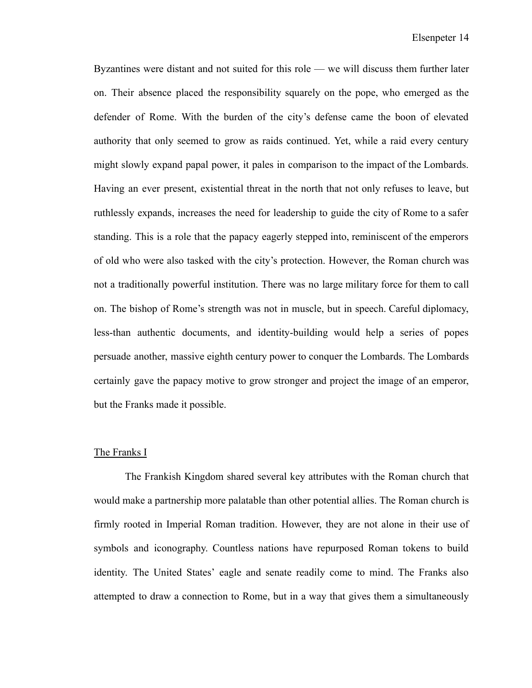Byzantines were distant and not suited for this role — we will discuss them further later on. Their absence placed the responsibility squarely on the pope, who emerged as the defender of Rome. With the burden of the city's defense came the boon of elevated authority that only seemed to grow as raids continued. Yet, while a raid every century might slowly expand papal power, it pales in comparison to the impact of the Lombards. Having an ever present, existential threat in the north that not only refuses to leave, but ruthlessly expands, increases the need for leadership to guide the city of Rome to a safer standing. This is a role that the papacy eagerly stepped into, reminiscent of the emperors of old who were also tasked with the city's protection. However, the Roman church was not a traditionally powerful institution. There was no large military force for them to call on. The bishop of Rome's strength was not in muscle, but in speech. Careful diplomacy, less-than authentic documents, and identity-building would help a series of popes persuade another, massive eighth century power to conquer the Lombards. The Lombards certainly gave the papacy motive to grow stronger and project the image of an emperor, but the Franks made it possible.

#### The Franks I

The Frankish Kingdom shared several key attributes with the Roman church that would make a partnership more palatable than other potential allies. The Roman church is firmly rooted in Imperial Roman tradition. However, they are not alone in their use of symbols and iconography. Countless nations have repurposed Roman tokens to build identity. The United States' eagle and senate readily come to mind. The Franks also attempted to draw a connection to Rome, but in a way that gives them a simultaneously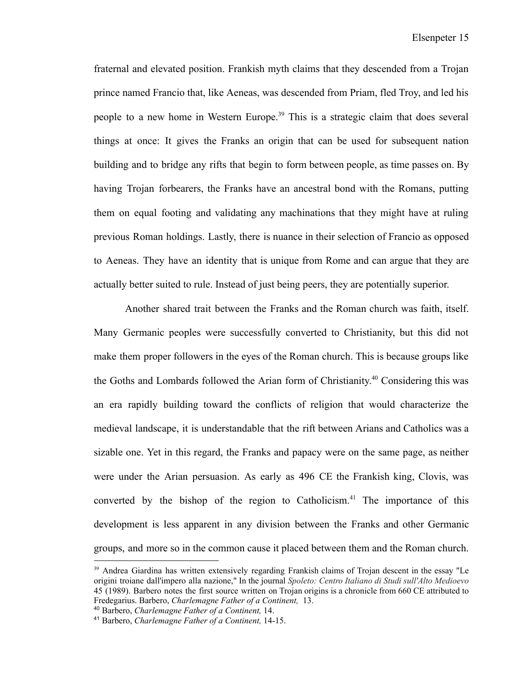fraternal and elevated position. Frankish myth claims that they descended from a Trojan prince named Francio that, like Aeneas, was descended from Priam, fled Troy, and led his people to a new home in Western Europe.<sup>39</sup> This is a strategic claim that does several things at once: It gives the Franks an origin that can be used for subsequent nation building and to bridge any rifts that begin to form between people, as time passes on. By having Trojan forbearers, the Franks have an ancestral bond with the Romans, putting them on equal footing and validating any machinations that they might have at ruling previous Roman holdings. Lastly, there is nuance in their selection of Francio as opposed to Aeneas. They have an identity that is unique from Rome and can argue that they are actually better suited to rule. Instead of just being peers, they are potentially superior.

Another shared trait between the Franks and the Roman church was faith, itself. Many Germanic peoples were successfully converted to Christianity, but this did not make them proper followers in the eyes of the Roman church. This is because groups like the Goths and Lombards followed the Arian form of Christianity. <sup>40</sup> Considering this was an era rapidly building toward the conflicts of religion that would characterize the medieval landscape, it is understandable that the rift between Arians and Catholics was a sizable one. Yet in this regard, the Franks and papacy were on the same page, as neither were under the Arian persuasion. As early as 496 CE the Frankish king, Clovis, was converted by the bishop of the region to Catholicism.<sup>41</sup> The importance of this development is less apparent in any division between the Franks and other Germanic groups, and more so in the common cause it placed between them and the Roman church.

<sup>&</sup>lt;sup>39</sup> Andrea Giardina has written extensively regarding Frankish claims of Trojan descent in the essay "Le origini troiane dall'impero alla nazione," In the journal *Spoleto: Centro Italiano di Studi sull'Alto Medioevo* 45 (1989). Barbero notes the first source written on Trojan origins is a chronicle from 660 CE attributed to Fredegarius. Barbero, *Charlemagne Father of a Continent,* 13.

<sup>40</sup> Barbero, *Charlemagne Father of a Continent,* 14.

<sup>41</sup> Barbero, *Charlemagne Father of a Continent,* 14-15.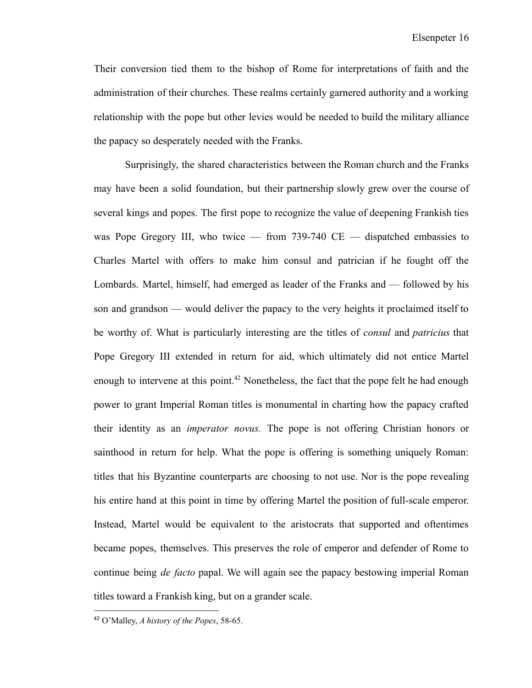Their conversion tied them to the bishop of Rome for interpretations of faith and the administration of their churches. These realms certainly garnered authority and a working relationship with the pope but other levies would be needed to build the military alliance the papacy so desperately needed with the Franks.

Surprisingly, the shared characteristics between the Roman church and the Franks may have been a solid foundation, but their partnership slowly grew over the course of several kings and popes. The first pope to recognize the value of deepening Frankish ties was Pope Gregory III, who twice — from  $739-740$  CE — dispatched embassies to Charles Martel with offers to make him consul and patrician if he fought off the Lombards. Martel, himself, had emerged as leader of the Franks and — followed by his son and grandson — would deliver the papacy to the very heights it proclaimed itself to be worthy of. What is particularly interesting are the titles of *consul* and *patricius* that Pope Gregory III extended in return for aid, which ultimately did not entice Martel enough to intervene at this point.<sup>42</sup> Nonetheless, the fact that the pope felt he had enough power to grant Imperial Roman titles is monumental in charting how the papacy crafted their identity as an *imperator novus.* The pope is not offering Christian honors or sainthood in return for help. What the pope is offering is something uniquely Roman: titles that his Byzantine counterparts are choosing to not use. Nor is the pope revealing his entire hand at this point in time by offering Martel the position of full-scale emperor. Instead, Martel would be equivalent to the aristocrats that supported and oftentimes became popes, themselves. This preserves the role of emperor and defender of Rome to continue being *de facto* papal. We will again see the papacy bestowing imperial Roman titles toward a Frankish king, but on a grander scale.

<sup>42</sup> O'Malley, *A history of the Popes*, 58-65.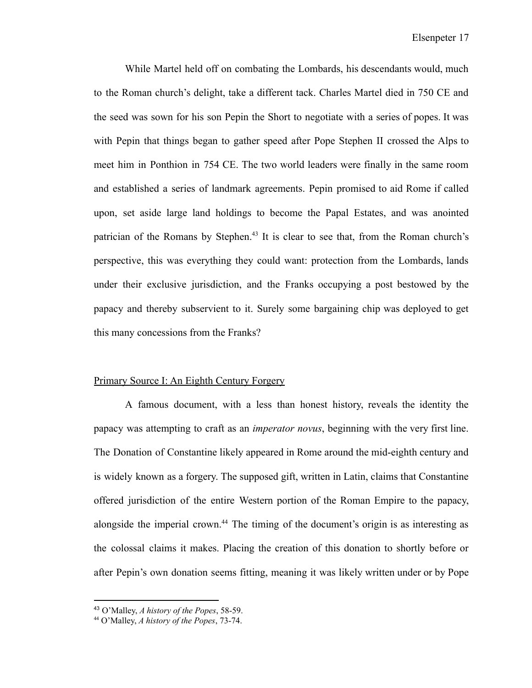While Martel held off on combating the Lombards, his descendants would, much to the Roman church's delight, take a different tack. Charles Martel died in 750 CE and the seed was sown for his son Pepin the Short to negotiate with a series of popes. It was with Pepin that things began to gather speed after Pope Stephen II crossed the Alps to meet him in Ponthion in 754 CE. The two world leaders were finally in the same room and established a series of landmark agreements. Pepin promised to aid Rome if called upon, set aside large land holdings to become the Papal Estates, and was anointed patrician of the Romans by Stephen.<sup>43</sup> It is clear to see that, from the Roman church's perspective, this was everything they could want: protection from the Lombards, lands under their exclusive jurisdiction, and the Franks occupying a post bestowed by the papacy and thereby subservient to it. Surely some bargaining chip was deployed to get this many concessions from the Franks?

#### Primary Source I: An Eighth Century Forgery

A famous document, with a less than honest history, reveals the identity the papacy was attempting to craft as an *imperator novus*, beginning with the very first line. The Donation of Constantine likely appeared in Rome around the mid-eighth century and is widely known as a forgery. The supposed gift, written in Latin, claims that Constantine offered jurisdiction of the entire Western portion of the Roman Empire to the papacy, alongside the imperial crown.<sup>44</sup> The timing of the document's origin is as interesting as the colossal claims it makes. Placing the creation of this donation to shortly before or after Pepin's own donation seems fitting, meaning it was likely written under or by Pope

<sup>43</sup> O'Malley, *A history of the Popes*, 58-59.

<sup>44</sup> O'Malley, *A history of the Popes*, 73-74.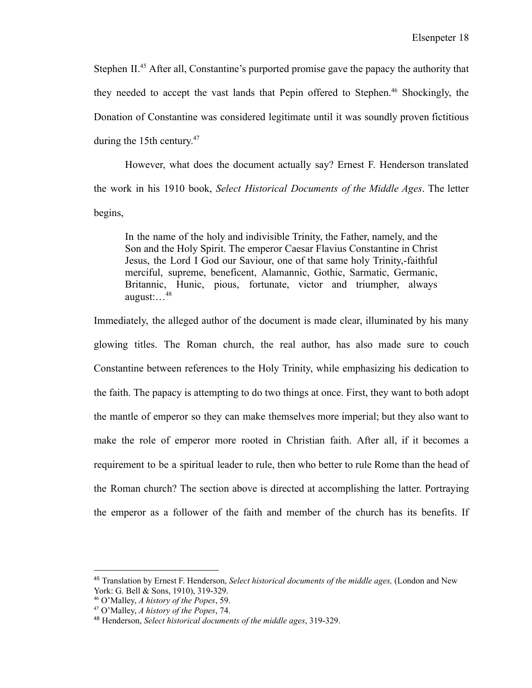Stephen II.<sup>45</sup> After all, Constantine's purported promise gave the papacy the authority that they needed to accept the vast lands that Pepin offered to Stephen.<sup>46</sup> Shockingly, the Donation of Constantine was considered legitimate until it was soundly proven fictitious during the 15th century. 47

However, what does the document actually say? Ernest F. Henderson translated the work in his 1910 book, *Select Historical Documents of the Middle Ages*. The letter begins,

In the name of the holy and indivisible Trinity, the Father, namely, and the Son and the Holy Spirit. The emperor Caesar Flavius Constantine in Christ Jesus, the Lord I God our Saviour, one of that same holy Trinity,-faithful merciful, supreme, beneficent, Alamannic, Gothic, Sarmatic, Germanic, Britannic, Hunic, pious, fortunate, victor and triumpher, always august:…<sup>48</sup>

Immediately, the alleged author of the document is made clear, illuminated by his many glowing titles. The Roman church, the real author, has also made sure to couch Constantine between references to the Holy Trinity, while emphasizing his dedication to the faith. The papacy is attempting to do two things at once. First, they want to both adopt the mantle of emperor so they can make themselves more imperial; but they also want to make the role of emperor more rooted in Christian faith. After all, if it becomes a requirement to be a spiritual leader to rule, then who better to rule Rome than the head of the Roman church? The section above is directed at accomplishing the latter. Portraying the emperor as a follower of the faith and member of the church has its benefits. If

<sup>45</sup> Translation by Ernest F. Henderson, *Select historical documents of the middle ages,* (London and New York: G. Bell & Sons, 1910), 319-329.

<sup>46</sup> O'Malley, *A history of the Popes*, 59.

<sup>47</sup> O'Malley, *A history of the Popes*, 74.

<sup>48</sup> Henderson, *Select historical documents of the middle ages*, 319-329.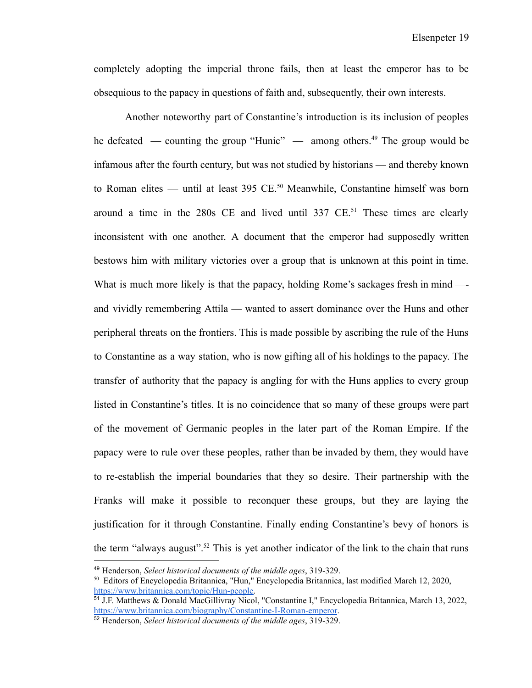completely adopting the imperial throne fails, then at least the emperor has to be obsequious to the papacy in questions of faith and, subsequently, their own interests.

Another noteworthy part of Constantine's introduction is its inclusion of peoples he defeated — counting the group "Hunic" — among others.<sup>49</sup> The group would be infamous after the fourth century, but was not studied by historians — and thereby known to Roman elites — until at least 395 CE.<sup>50</sup> Meanwhile, Constantine himself was born around a time in the  $280s$  CE and lived until  $337$  CE.<sup>51</sup> These times are clearly inconsistent with one another. A document that the emperor had supposedly written bestows him with military victories over a group that is unknown at this point in time. What is much more likely is that the papacy, holding Rome's sackages fresh in mind —and vividly remembering Attila — wanted to assert dominance over the Huns and other peripheral threats on the frontiers. This is made possible by ascribing the rule of the Huns to Constantine as a way station, who is now gifting all of his holdings to the papacy. The transfer of authority that the papacy is angling for with the Huns applies to every group listed in Constantine's titles. It is no coincidence that so many of these groups were part of the movement of Germanic peoples in the later part of the Roman Empire. If the papacy were to rule over these peoples, rather than be invaded by them, they would have to re-establish the imperial boundaries that they so desire. Their partnership with the Franks will make it possible to reconquer these groups, but they are laying the justification for it through Constantine. Finally ending Constantine's bevy of honors is the term "always august".<sup>52</sup> This is yet another indicator of the link to the chain that runs

<sup>49</sup> Henderson, *Select historical documents of the middle ages*, 319-329.

<sup>50</sup> Editors of Encyclopedia Britannica, "Hun," Encyclopedia Britannica, last modified March 12, 2020, [https://www.britannica.com/topic/Hun-people.](https://www.britannica.com/topic/Hun-people)

<sup>51</sup> J.F. Matthews & Donald MacGillivray Nicol, "Constantine I," Encyclopedia Britannica, March 13, 2022, <https://www.britannica.com/biography/Constantine-I-Roman-emperor>.

<sup>52</sup> Henderson, *Select historical documents of the middle ages*, 319-329.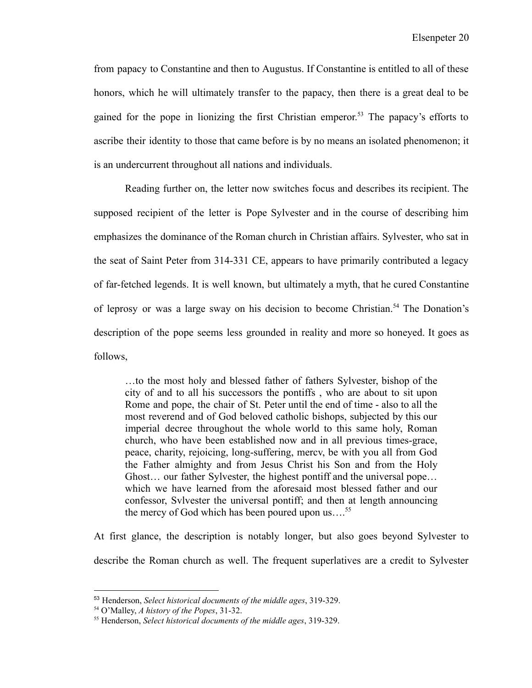from papacy to Constantine and then to Augustus. If Constantine is entitled to all of these honors, which he will ultimately transfer to the papacy, then there is a great deal to be gained for the pope in lionizing the first Christian emperor.<sup>53</sup> The papacy's efforts to ascribe their identity to those that came before is by no means an isolated phenomenon; it is an undercurrent throughout all nations and individuals.

Reading further on, the letter now switches focus and describes its recipient. The supposed recipient of the letter is Pope Sylvester and in the course of describing him emphasizes the dominance of the Roman church in Christian affairs. Sylvester, who sat in the seat of Saint Peter from 314-331 CE, appears to have primarily contributed a legacy of far-fetched legends. It is well known, but ultimately a myth, that he cured Constantine of leprosy or was a large sway on his decision to become Christian.<sup>54</sup> The Donation's description of the pope seems less grounded in reality and more so honeyed. It goes as follows,

…to the most holy and blessed father of fathers Sylvester, bishop of the city of and to all his successors the pontiffs , who are about to sit upon Rome and pope, the chair of St. Peter until the end of time - also to all the most reverend and of God beloved catholic bishops, subjected by this our imperial decree throughout the whole world to this same holy, Roman church, who have been established now and in all previous times-grace, peace, charity, rejoicing, long-suffering, mercv, be with you all from God the Father almighty and from Jesus Christ his Son and from the Holy Ghost… our father Sylvester, the highest pontiff and the universal pope… which we have learned from the aforesaid most blessed father and our confessor, Svlvester the universal pontiff; and then at length announcing the mercy of God which has been poured upon us... $^{55}$ 

At first glance, the description is notably longer, but also goes beyond Sylvester to describe the Roman church as well. The frequent superlatives are a credit to Sylvester

<sup>53</sup> Henderson, *Select historical documents of the middle ages*, 319-329.

<sup>54</sup> O'Malley, *A history of the Popes*, 31-32.

<sup>55</sup> Henderson, *Select historical documents of the middle ages*, 319-329.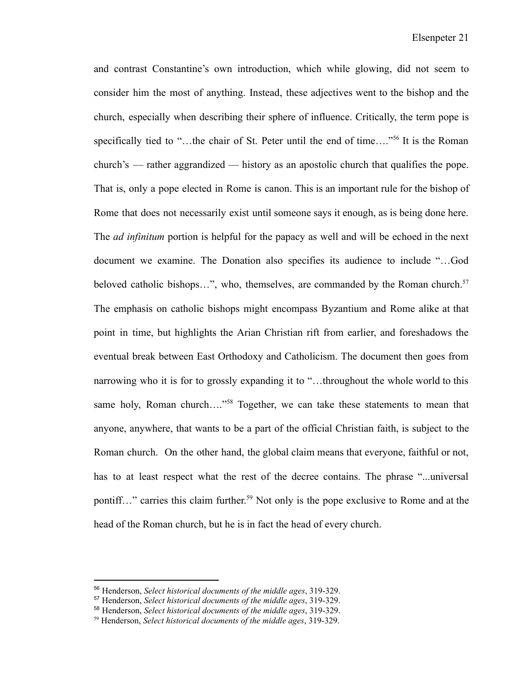and contrast Constantine's own introduction, which while glowing, did not seem to consider him the most of anything. Instead, these adjectives went to the bishop and the church, especially when describing their sphere of influence. Critically, the term pope is specifically tied to "...the chair of St. Peter until the end of time...."<sup>56</sup> It is the Roman church's — rather aggrandized — history as an apostolic church that qualifies the pope. That is, only a pope elected in Rome is canon. This is an important rule for the bishop of Rome that does not necessarily exist until someone says it enough, as is being done here. The *ad infinitum* portion is helpful for the papacy as well and will be echoed in the next document we examine. The Donation also specifies its audience to include "…God beloved catholic bishops...", who, themselves, are commanded by the Roman church.<sup>57</sup> The emphasis on catholic bishops might encompass Byzantium and Rome alike at that point in time, but highlights the Arian Christian rift from earlier, and foreshadows the eventual break between East Orthodoxy and Catholicism. The document then goes from narrowing who it is for to grossly expanding it to "…throughout the whole world to this same holy, Roman church...."<sup>58</sup> Together, we can take these statements to mean that anyone, anywhere, that wants to be a part of the official Christian faith, is subject to the Roman church. On the other hand, the global claim means that everyone, faithful or not, has to at least respect what the rest of the decree contains. The phrase "...universal pontiff..." carries this claim further.<sup>59</sup> Not only is the pope exclusive to Rome and at the head of the Roman church, but he is in fact the head of every church.

<sup>56</sup> Henderson, *Select historical documents of the middle ages*, 319-329.

<sup>57</sup> Henderson, *Select historical documents of the middle ages*, 319-329.

<sup>58</sup> Henderson, *Select historical documents of the middle ages*, 319-329.

<sup>59</sup> Henderson, *Select historical documents of the middle ages*, 319-329.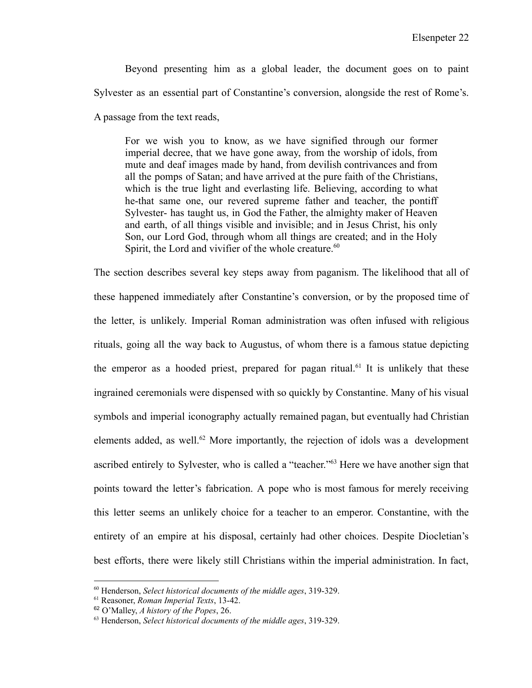Beyond presenting him as a global leader, the document goes on to paint Sylvester as an essential part of Constantine's conversion, alongside the rest of Rome's. A passage from the text reads,

For we wish you to know, as we have signified through our former imperial decree, that we have gone away, from the worship of idols, from mute and deaf images made by hand, from devilish contrivances and from all the pomps of Satan; and have arrived at the pure faith of the Christians, which is the true light and everlasting life. Believing, according to what he-that same one, our revered supreme father and teacher, the pontiff Sylvester- has taught us, in God the Father, the almighty maker of Heaven and earth, of all things visible and invisible; and in Jesus Christ, his only Son, our Lord God, through whom all things are created; and in the Holy Spirit, the Lord and vivifier of the whole creature.<sup>60</sup>

The section describes several key steps away from paganism. The likelihood that all of these happened immediately after Constantine's conversion, or by the proposed time of the letter, is unlikely. Imperial Roman administration was often infused with religious rituals, going all the way back to Augustus, of whom there is a famous statue depicting the emperor as a hooded priest, prepared for pagan ritual.<sup>61</sup> It is unlikely that these ingrained ceremonials were dispensed with so quickly by Constantine. Many of his visual symbols and imperial iconography actually remained pagan, but eventually had Christian elements added, as well.<sup>62</sup> More importantly, the rejection of idols was a development ascribed entirely to Sylvester, who is called a "teacher."<sup>63</sup> Here we have another sign that points toward the letter's fabrication. A pope who is most famous for merely receiving this letter seems an unlikely choice for a teacher to an emperor. Constantine, with the entirety of an empire at his disposal, certainly had other choices. Despite Diocletian's best efforts, there were likely still Christians within the imperial administration. In fact,

<sup>60</sup> Henderson, *Select historical documents of the middle ages*, 319-329.

<sup>61</sup> Reasoner, *Roman Imperial Texts*, 13-42.

<sup>62</sup> O'Malley, *A history of the Popes*, 26.

<sup>63</sup> Henderson, *Select historical documents of the middle ages*, 319-329.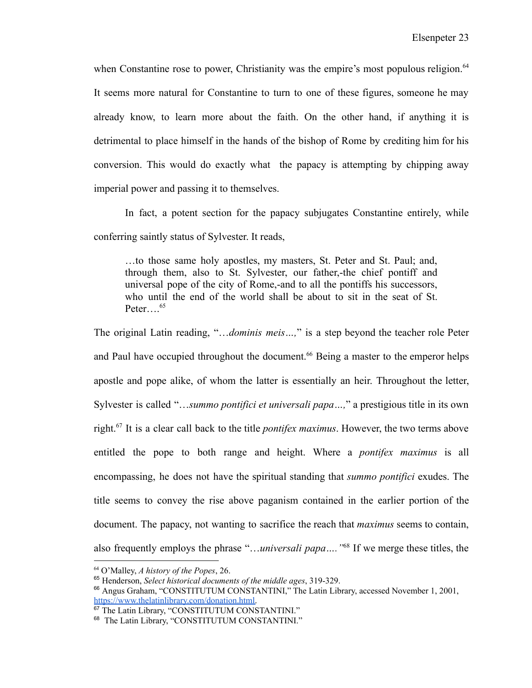when Constantine rose to power, Christianity was the empire's most populous religion.<sup>64</sup> It seems more natural for Constantine to turn to one of these figures, someone he may already know, to learn more about the faith. On the other hand, if anything it is detrimental to place himself in the hands of the bishop of Rome by crediting him for his conversion. This would do exactly what the papacy is attempting by chipping away imperial power and passing it to themselves.

In fact, a potent section for the papacy subjugates Constantine entirely, while conferring saintly status of Sylvester. It reads,

…to those same holy apostles, my masters, St. Peter and St. Paul; and, through them, also to St. Sylvester, our father,-the chief pontiff and universal pope of the city of Rome,-and to all the pontiffs his successors, who until the end of the world shall be about to sit in the seat of St. Peter… $^{65}$ 

The original Latin reading, "…*dominis meis…,*" is a step beyond the teacher role Peter and Paul have occupied throughout the document.<sup>66</sup> Being a master to the emperor helps apostle and pope alike, of whom the latter is essentially an heir. Throughout the letter, Sylvester is called "…*summo pontifici et universali papa…,*" a prestigious title in its own right.<sup>67</sup> It is a clear call back to the title *pontifex maximus*. However, the two terms above entitled the pope to both range and height. Where a *pontifex maximus* is all encompassing, he does not have the spiritual standing that *summo pontifici* exudes. The title seems to convey the rise above paganism contained in the earlier portion of the document. The papacy, not wanting to sacrifice the reach that *maximus* seems to contain, also frequently employs the phrase "...*universali papa....*"<sup>68</sup> If we merge these titles, the

<sup>64</sup> O'Malley, *A history of the Popes*, 26.

<sup>65</sup> Henderson, *Select historical documents of the middle ages*, 319-329.

<sup>66</sup> Angus Graham, "CONSTITUTUM CONSTANTINI," The Latin Library, accessed November 1, 2001, [https://www.thelatinlibrary.com/donation.html.](https://www.thelatinlibrary.com/donation.html)

<sup>&</sup>lt;sup>67</sup> The Latin Library, "CONSTITUTUM CONSTANTINI."

<sup>&</sup>lt;sup>68</sup> The Latin Library, "CONSTITUTUM CONSTANTINI."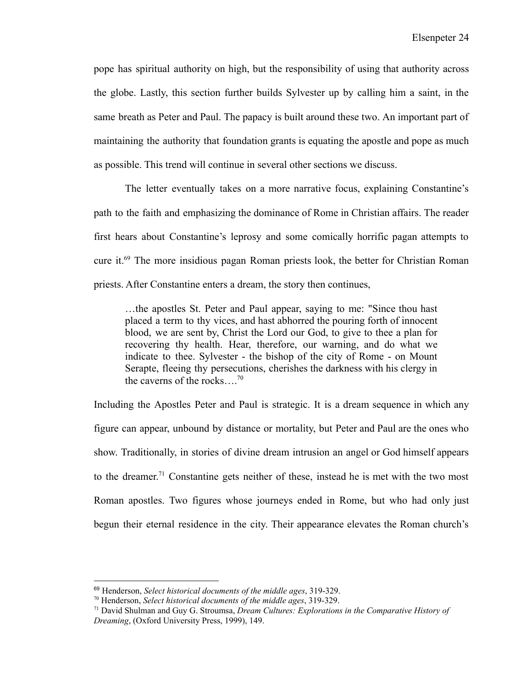pope has spiritual authority on high, but the responsibility of using that authority across the globe. Lastly, this section further builds Sylvester up by calling him a saint, in the same breath as Peter and Paul. The papacy is built around these two. An important part of maintaining the authority that foundation grants is equating the apostle and pope as much as possible. This trend will continue in several other sections we discuss.

The letter eventually takes on a more narrative focus, explaining Constantine's path to the faith and emphasizing the dominance of Rome in Christian affairs. The reader first hears about Constantine's leprosy and some comically horrific pagan attempts to cure it.<sup>69</sup> The more insidious pagan Roman priests look, the better for Christian Roman priests. After Constantine enters a dream, the story then continues,

…the apostles St. Peter and Paul appear, saying to me: "Since thou hast placed a term to thy vices, and hast abhorred the pouring forth of innocent blood, we are sent by, Christ the Lord our God, to give to thee a plan for recovering thy health. Hear, therefore, our warning, and do what we indicate to thee. Sylvester - the bishop of the city of Rome - on Mount Serapte, fleeing thy persecutions, cherishes the darkness with his clergy in the caverns of the rocks....<sup>70</sup>

Including the Apostles Peter and Paul is strategic. It is a dream sequence in which any figure can appear, unbound by distance or mortality, but Peter and Paul are the ones who show. Traditionally, in stories of divine dream intrusion an angel or God himself appears to the dreamer. <sup>71</sup> Constantine gets neither of these, instead he is met with the two most Roman apostles. Two figures whose journeys ended in Rome, but who had only just begun their eternal residence in the city. Their appearance elevates the Roman church's

<sup>69</sup> Henderson, *Select historical documents of the middle ages*, 319-329.

<sup>70</sup> Henderson, *Select historical documents of the middle ages*, 319-329.

<sup>71</sup> David Shulman and Guy G. Stroumsa, *Dream Cultures: Explorations in the Comparative History of Dreaming*, (Oxford University Press, 1999), 149.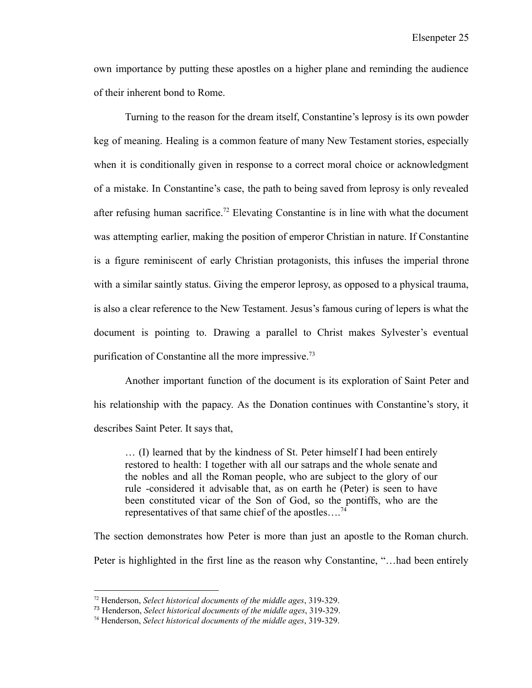own importance by putting these apostles on a higher plane and reminding the audience of their inherent bond to Rome.

Turning to the reason for the dream itself, Constantine's leprosy is its own powder keg of meaning. Healing is a common feature of many New Testament stories, especially when it is conditionally given in response to a correct moral choice or acknowledgment of a mistake. In Constantine's case, the path to being saved from leprosy is only revealed after refusing human sacrifice.<sup>72</sup> Elevating Constantine is in line with what the document was attempting earlier, making the position of emperor Christian in nature. If Constantine is a figure reminiscent of early Christian protagonists, this infuses the imperial throne with a similar saintly status. Giving the emperor leprosy, as opposed to a physical trauma, is also a clear reference to the New Testament. Jesus's famous curing of lepers is what the document is pointing to. Drawing a parallel to Christ makes Sylvester's eventual purification of Constantine all the more impressive.<sup>73</sup>

Another important function of the document is its exploration of Saint Peter and his relationship with the papacy. As the Donation continues with Constantine's story, it describes Saint Peter. It says that,

… (I) learned that by the kindness of St. Peter himself I had been entirely restored to health: I together with all our satraps and the whole senate and the nobles and all the Roman people, who are subject to the glory of our rule -considered it advisable that, as on earth he (Peter) is seen to have been constituted vicar of the Son of God, so the pontiffs, who are the representatives of that same chief of the apostles….<sup>74</sup>

The section demonstrates how Peter is more than just an apostle to the Roman church. Peter is highlighted in the first line as the reason why Constantine, "…had been entirely

<sup>72</sup> Henderson, *Select historical documents of the middle ages*, 319-329.

<sup>73</sup> Henderson, *Select historical documents of the middle ages*, 319-329.

<sup>74</sup> Henderson, *Select historical documents of the middle ages*, 319-329.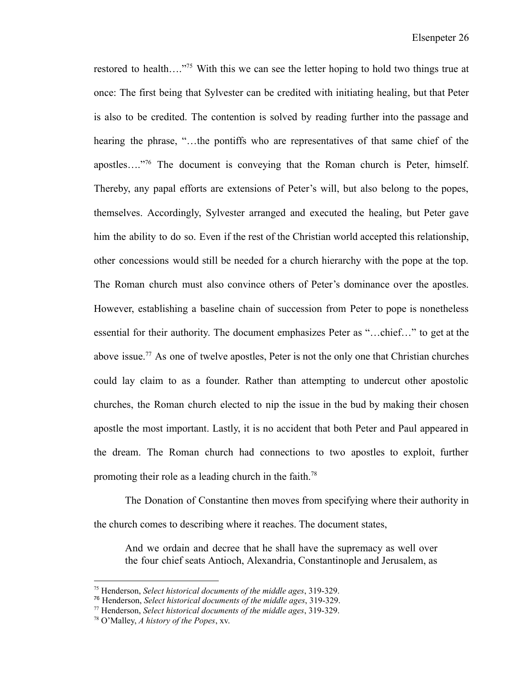restored to health...."<sup>75</sup> With this we can see the letter hoping to hold two things true at once: The first being that Sylvester can be credited with initiating healing, but that Peter is also to be credited. The contention is solved by reading further into the passage and hearing the phrase, "…the pontiffs who are representatives of that same chief of the apostles…."<sup>76</sup> The document is conveying that the Roman church is Peter, himself. Thereby, any papal efforts are extensions of Peter's will, but also belong to the popes, themselves. Accordingly, Sylvester arranged and executed the healing, but Peter gave him the ability to do so. Even if the rest of the Christian world accepted this relationship, other concessions would still be needed for a church hierarchy with the pope at the top. The Roman church must also convince others of Peter's dominance over the apostles. However, establishing a baseline chain of succession from Peter to pope is nonetheless essential for their authority. The document emphasizes Peter as "…chief…" to get at the above issue.<sup>77</sup> As one of twelve apostles, Peter is not the only one that Christian churches could lay claim to as a founder. Rather than attempting to undercut other apostolic churches, the Roman church elected to nip the issue in the bud by making their chosen apostle the most important. Lastly, it is no accident that both Peter and Paul appeared in the dream. The Roman church had connections to two apostles to exploit, further promoting their role as a leading church in the faith.<sup>78</sup>

The Donation of Constantine then moves from specifying where their authority in the church comes to describing where it reaches. The document states,

And we ordain and decree that he shall have the supremacy as well over the four chief seats Antioch, Alexandria, Constantinople and Jerusalem, as

<sup>75</sup> Henderson, *Select historical documents of the middle ages*, 319-329.

<sup>76</sup> Henderson, *Select historical documents of the middle ages*, 319-329.

<sup>77</sup> Henderson, *Select historical documents of the middle ages*, 319-329.

<sup>78</sup> O'Malley, *A history of the Popes*, xv.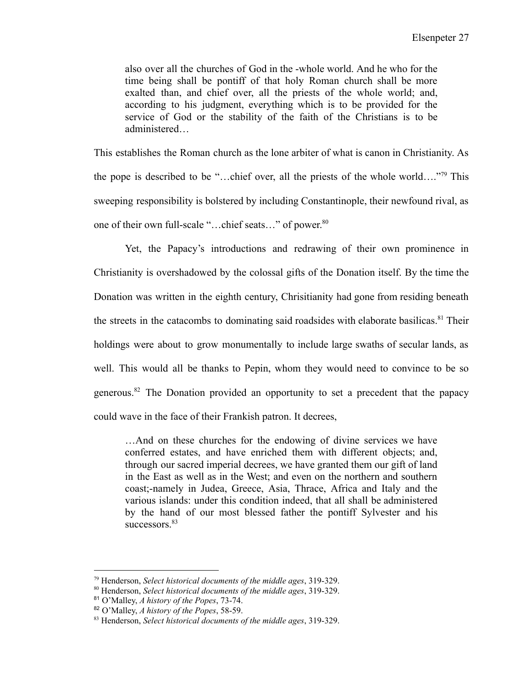also over all the churches of God in the -whole world. And he who for the time being shall be pontiff of that holy Roman church shall be more exalted than, and chief over, all the priests of the whole world; and, according to his judgment, everything which is to be provided for the service of God or the stability of the faith of the Christians is to be administered…

This establishes the Roman church as the lone arbiter of what is canon in Christianity. As the pope is described to be "…chief over, all the priests of the whole world…."<sup>79</sup> This sweeping responsibility is bolstered by including Constantinople, their newfound rival, as one of their own full-scale "...chief seats..." of power.<sup>80</sup>

Yet, the Papacy's introductions and redrawing of their own prominence in Christianity is overshadowed by the colossal gifts of the Donation itself. By the time the Donation was written in the eighth century, Chrisitianity had gone from residing beneath the streets in the catacombs to dominating said roadsides with elaborate basilicas.<sup>81</sup> Their holdings were about to grow monumentally to include large swaths of secular lands, as well. This would all be thanks to Pepin, whom they would need to convince to be so generous.<sup>82</sup> The Donation provided an opportunity to set a precedent that the papacy could wave in the face of their Frankish patron. It decrees,

…And on these churches for the endowing of divine services we have conferred estates, and have enriched them with different objects; and, through our sacred imperial decrees, we have granted them our gift of land in the East as well as in the West; and even on the northern and southern coast;-namely in Judea, Greece, Asia, Thrace, Africa and Italy and the various islands: under this condition indeed, that all shall be administered by the hand of our most blessed father the pontiff Sylvester and his successors.<sup>83</sup>

<sup>79</sup> Henderson, *Select historical documents of the middle ages*, 319-329.

<sup>80</sup> Henderson, *Select historical documents of the middle ages*, 319-329.

<sup>81</sup> O'Malley, *A history of the Popes*, 73-74.

<sup>82</sup> O'Malley, *A history of the Popes*, 58-59.

<sup>83</sup> Henderson, *Select historical documents of the middle ages*, 319-329.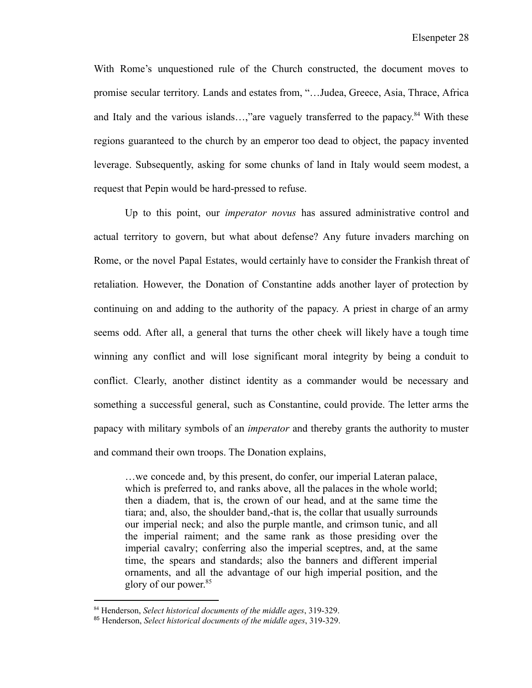With Rome's unquestioned rule of the Church constructed, the document moves to promise secular territory. Lands and estates from, "…Judea, Greece, Asia, Thrace, Africa and Italy and the various islands...,"are vaguely transferred to the papacy.<sup>84</sup> With these regions guaranteed to the church by an emperor too dead to object, the papacy invented leverage. Subsequently, asking for some chunks of land in Italy would seem modest, a request that Pepin would be hard-pressed to refuse.

Up to this point, our *imperator novus* has assured administrative control and actual territory to govern, but what about defense? Any future invaders marching on Rome, or the novel Papal Estates, would certainly have to consider the Frankish threat of retaliation. However, the Donation of Constantine adds another layer of protection by continuing on and adding to the authority of the papacy. A priest in charge of an army seems odd. After all, a general that turns the other cheek will likely have a tough time winning any conflict and will lose significant moral integrity by being a conduit to conflict. Clearly, another distinct identity as a commander would be necessary and something a successful general, such as Constantine, could provide. The letter arms the papacy with military symbols of an *imperator* and thereby grants the authority to muster and command their own troops. The Donation explains,

…we concede and, by this present, do confer, our imperial Lateran palace, which is preferred to, and ranks above, all the palaces in the whole world; then a diadem, that is, the crown of our head, and at the same time the tiara; and, also, the shoulder band,-that is, the collar that usually surrounds our imperial neck; and also the purple mantle, and crimson tunic, and all the imperial raiment; and the same rank as those presiding over the imperial cavalry; conferring also the imperial sceptres, and, at the same time, the spears and standards; also the banners and different imperial ornaments, and all the advantage of our high imperial position, and the glory of our power. 85

<sup>84</sup> Henderson, *Select historical documents of the middle ages*, 319-329.

<sup>85</sup> Henderson, *Select historical documents of the middle ages*, 319-329.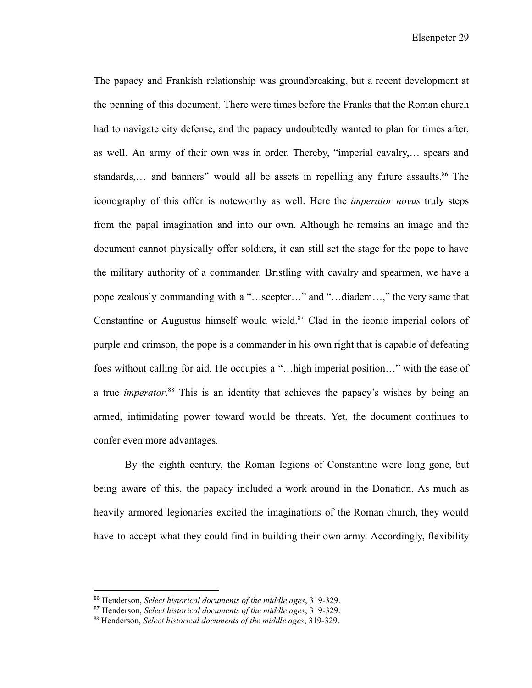Elsenpeter 29

The papacy and Frankish relationship was groundbreaking, but a recent development at the penning of this document. There were times before the Franks that the Roman church had to navigate city defense, and the papacy undoubtedly wanted to plan for times after, as well. An army of their own was in order. Thereby, "imperial cavalry,… spears and standards,... and banners" would all be assets in repelling any future assaults.<sup>86</sup> The iconography of this offer is noteworthy as well. Here the *imperator novus* truly steps from the papal imagination and into our own. Although he remains an image and the document cannot physically offer soldiers, it can still set the stage for the pope to have the military authority of a commander. Bristling with cavalry and spearmen, we have a pope zealously commanding with a "…scepter…" and "…diadem…," the very same that Constantine or Augustus himself would wield. $87$  Clad in the iconic imperial colors of purple and crimson, the pope is a commander in his own right that is capable of defeating foes without calling for aid. He occupies a "…high imperial position…" with the ease of a true *imperator*. <sup>88</sup> This is an identity that achieves the papacy's wishes by being an armed, intimidating power toward would be threats. Yet, the document continues to confer even more advantages.

By the eighth century, the Roman legions of Constantine were long gone, but being aware of this, the papacy included a work around in the Donation. As much as heavily armored legionaries excited the imaginations of the Roman church, they would have to accept what they could find in building their own army. Accordingly, flexibility

<sup>86</sup> Henderson, *Select historical documents of the middle ages*, 319-329.

<sup>87</sup> Henderson, *Select historical documents of the middle ages*, 319-329.

<sup>88</sup> Henderson, *Select historical documents of the middle ages*, 319-329.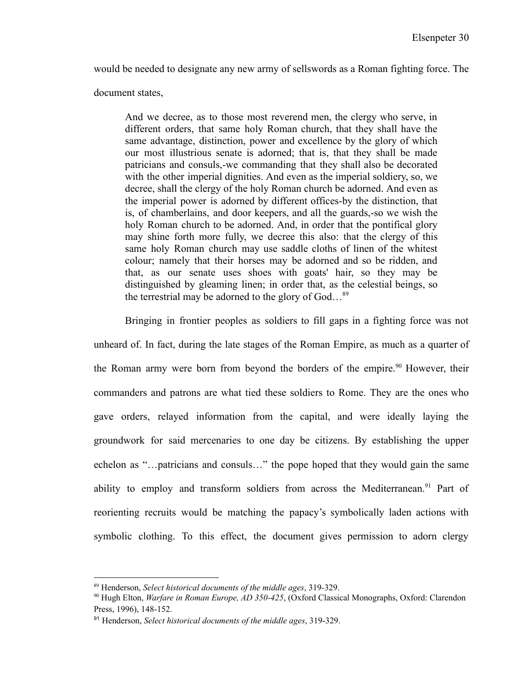would be needed to designate any new army of sellswords as a Roman fighting force. The

document states,

And we decree, as to those most reverend men, the clergy who serve, in different orders, that same holy Roman church, that they shall have the same advantage, distinction, power and excellence by the glory of which our most illustrious senate is adorned; that is, that they shall be made patricians and consuls,-we commanding that they shall also be decorated with the other imperial dignities. And even as the imperial soldiery, so, we decree, shall the clergy of the holy Roman church be adorned. And even as the imperial power is adorned by different offices-by the distinction, that is, of chamberlains, and door keepers, and all the guards,-so we wish the holy Roman church to be adorned. And, in order that the pontifical glory may shine forth more fully, we decree this also: that the clergy of this same holy Roman church may use saddle cloths of linen of the whitest colour; namely that their horses may be adorned and so be ridden, and that, as our senate uses shoes with goats' hair, so they may be distinguished by gleaming linen; in order that, as the celestial beings, so the terrestrial may be adorned to the glory of God…<sup>89</sup>

Bringing in frontier peoples as soldiers to fill gaps in a fighting force was not unheard of. In fact, during the late stages of the Roman Empire, as much as a quarter of the Roman army were born from beyond the borders of the empire.<sup>90</sup> However, their commanders and patrons are what tied these soldiers to Rome. They are the ones who gave orders, relayed information from the capital, and were ideally laying the groundwork for said mercenaries to one day be citizens. By establishing the upper echelon as "…patricians and consuls…" the pope hoped that they would gain the same ability to employ and transform soldiers from across the Mediterranean.<sup>91</sup> Part of reorienting recruits would be matching the papacy's symbolically laden actions with symbolic clothing. To this effect, the document gives permission to adorn clergy

<sup>89</sup> Henderson, *Select historical documents of the middle ages*, 319-329.

<sup>90</sup> Hugh Elton, *Warfare in Roman Europe, AD 350-425*, (Oxford Classical Monographs, Oxford: Clarendon Press, 1996), 148-152.

<sup>91</sup> Henderson, *Select historical documents of the middle ages*, 319-329.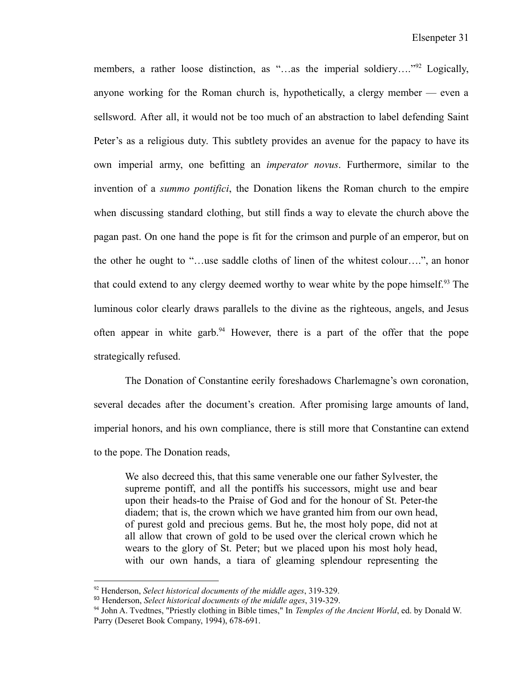members, a rather loose distinction, as "...as the imperial soldiery...."<sup>92</sup> Logically, anyone working for the Roman church is, hypothetically, a clergy member — even a sellsword. After all, it would not be too much of an abstraction to label defending Saint Peter's as a religious duty. This subtlety provides an avenue for the papacy to have its own imperial army, one befitting an *imperator novus*. Furthermore, similar to the invention of a *summo pontifici*, the Donation likens the Roman church to the empire when discussing standard clothing, but still finds a way to elevate the church above the pagan past. On one hand the pope is fit for the crimson and purple of an emperor, but on the other he ought to "…use saddle cloths of linen of the whitest colour….", an honor that could extend to any clergy deemed worthy to wear white by the pope himself.<sup>93</sup> The luminous color clearly draws parallels to the divine as the righteous, angels, and Jesus often appear in white garb.<sup>94</sup> However, there is a part of the offer that the pope strategically refused.

The Donation of Constantine eerily foreshadows Charlemagne's own coronation, several decades after the document's creation. After promising large amounts of land, imperial honors, and his own compliance, there is still more that Constantine can extend to the pope. The Donation reads,

We also decreed this, that this same venerable one our father Sylvester, the supreme pontiff, and all the pontiffs his successors, might use and bear upon their heads-to the Praise of God and for the honour of St. Peter-the diadem; that is, the crown which we have granted him from our own head, of purest gold and precious gems. But he, the most holy pope, did not at all allow that crown of gold to be used over the clerical crown which he wears to the glory of St. Peter; but we placed upon his most holy head, with our own hands, a tiara of gleaming splendour representing the

<sup>92</sup> Henderson, *Select historical documents of the middle ages*, 319-329.

<sup>93</sup> Henderson, *Select historical documents of the middle ages*, 319-329.

<sup>94</sup> John A. Tvedtnes, "Priestly clothing in Bible times," In *Temples of the Ancient World*, ed. by Donald W. Parry (Deseret Book Company, 1994), 678-691.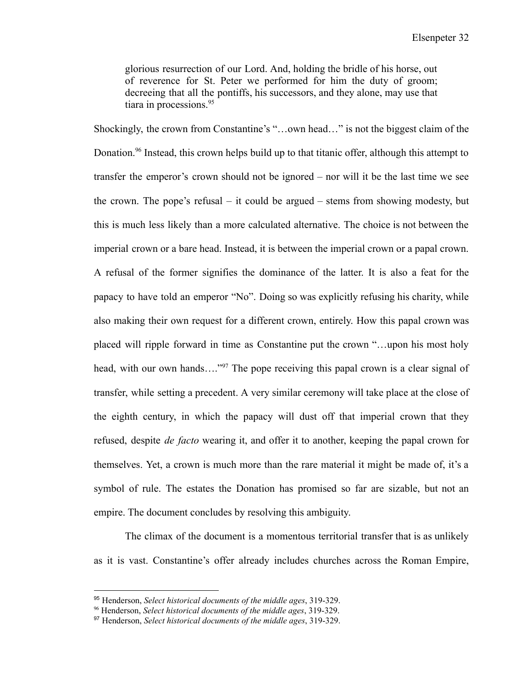glorious resurrection of our Lord. And, holding the bridle of his horse, out of reverence for St. Peter we performed for him the duty of groom; decreeing that all the pontiffs, his successors, and they alone, may use that tiara in processions.<sup>95</sup>

Shockingly, the crown from Constantine's "…own head…" is not the biggest claim of the Donation.<sup>96</sup> Instead, this crown helps build up to that titanic offer, although this attempt to transfer the emperor's crown should not be ignored – nor will it be the last time we see the crown. The pope's refusal – it could be argued – stems from showing modesty, but this is much less likely than a more calculated alternative. The choice is not between the imperial crown or a bare head. Instead, it is between the imperial crown or a papal crown. A refusal of the former signifies the dominance of the latter. It is also a feat for the papacy to have told an emperor "No". Doing so was explicitly refusing his charity, while also making their own request for a different crown, entirely. How this papal crown was placed will ripple forward in time as Constantine put the crown "…upon his most holy head, with our own hands…."<sup>97</sup> The pope receiving this papal crown is a clear signal of transfer, while setting a precedent. A very similar ceremony will take place at the close of the eighth century, in which the papacy will dust off that imperial crown that they refused, despite *de facto* wearing it, and offer it to another, keeping the papal crown for themselves. Yet, a crown is much more than the rare material it might be made of, it's a symbol of rule. The estates the Donation has promised so far are sizable, but not an empire. The document concludes by resolving this ambiguity.

The climax of the document is a momentous territorial transfer that is as unlikely as it is vast. Constantine's offer already includes churches across the Roman Empire,

<sup>95</sup> Henderson, *Select historical documents of the middle ages*, 319-329.

<sup>96</sup> Henderson, *Select historical documents of the middle ages*, 319-329.

<sup>97</sup> Henderson, *Select historical documents of the middle ages*, 319-329.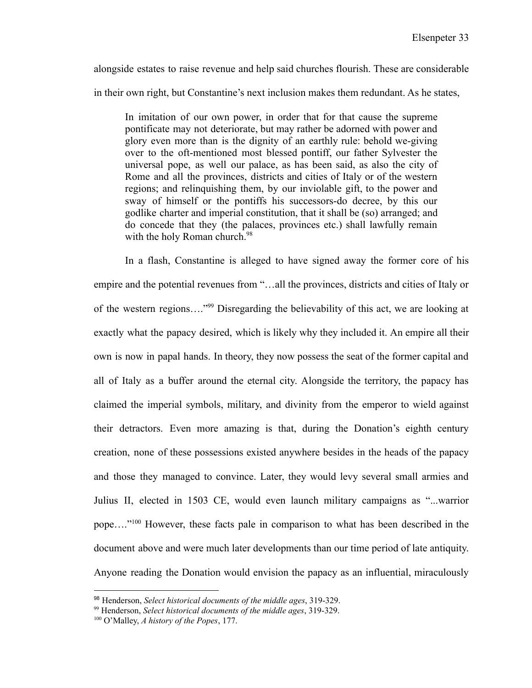alongside estates to raise revenue and help said churches flourish. These are considerable in their own right, but Constantine's next inclusion makes them redundant. As he states,

In imitation of our own power, in order that for that cause the supreme pontificate may not deteriorate, but may rather be adorned with power and glory even more than is the dignity of an earthly rule: behold we-giving over to the oft-mentioned most blessed pontiff, our father Sylvester the universal pope, as well our palace, as has been said, as also the city of Rome and all the provinces, districts and cities of Italy or of the western regions; and relinquishing them, by our inviolable gift, to the power and sway of himself or the pontiffs his successors-do decree, by this our godlike charter and imperial constitution, that it shall be (so) arranged; and do concede that they (the palaces, provinces etc.) shall lawfully remain with the holy Roman church.<sup>98</sup>

In a flash, Constantine is alleged to have signed away the former core of his empire and the potential revenues from "…all the provinces, districts and cities of Italy or of the western regions…."<sup>99</sup> Disregarding the believability of this act, we are looking at exactly what the papacy desired, which is likely why they included it. An empire all their own is now in papal hands. In theory, they now possess the seat of the former capital and all of Italy as a buffer around the eternal city. Alongside the territory, the papacy has claimed the imperial symbols, military, and divinity from the emperor to wield against their detractors. Even more amazing is that, during the Donation's eighth century creation, none of these possessions existed anywhere besides in the heads of the papacy and those they managed to convince. Later, they would levy several small armies and Julius II, elected in 1503 CE, would even launch military campaigns as "...warrior pope…."<sup>100</sup> However, these facts pale in comparison to what has been described in the document above and were much later developments than our time period of late antiquity. Anyone reading the Donation would envision the papacy as an influential, miraculously

<sup>98</sup> Henderson, *Select historical documents of the middle ages*, 319-329.

<sup>99</sup> Henderson, *Select historical documents of the middle ages*, 319-329.

<sup>100</sup> O'Malley, *A history of the Popes*, 177.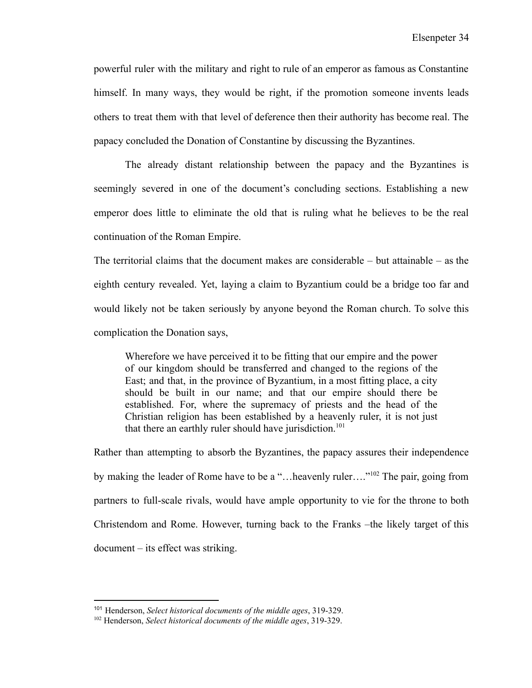powerful ruler with the military and right to rule of an emperor as famous as Constantine himself. In many ways, they would be right, if the promotion someone invents leads others to treat them with that level of deference then their authority has become real. The papacy concluded the Donation of Constantine by discussing the Byzantines.

The already distant relationship between the papacy and the Byzantines is seemingly severed in one of the document's concluding sections. Establishing a new emperor does little to eliminate the old that is ruling what he believes to be the real continuation of the Roman Empire.

The territorial claims that the document makes are considerable – but attainable – as the eighth century revealed. Yet, laying a claim to Byzantium could be a bridge too far and would likely not be taken seriously by anyone beyond the Roman church. To solve this complication the Donation says,

Wherefore we have perceived it to be fitting that our empire and the power of our kingdom should be transferred and changed to the regions of the East; and that, in the province of Byzantium, in a most fitting place, a city should be built in our name; and that our empire should there be established. For, where the supremacy of priests and the head of the Christian religion has been established by a heavenly ruler, it is not just that there an earthly ruler should have jurisdiction.<sup>101</sup>

Rather than attempting to absorb the Byzantines, the papacy assures their independence by making the leader of Rome have to be a "…heavenly ruler…."<sup>102</sup> The pair, going from partners to full-scale rivals, would have ample opportunity to vie for the throne to both Christendom and Rome. However, turning back to the Franks –the likely target of this document – its effect was striking.

<sup>101</sup> Henderson, *Select historical documents of the middle ages*, 319-329.

<sup>102</sup> Henderson, *Select historical documents of the middle ages*, 319-329.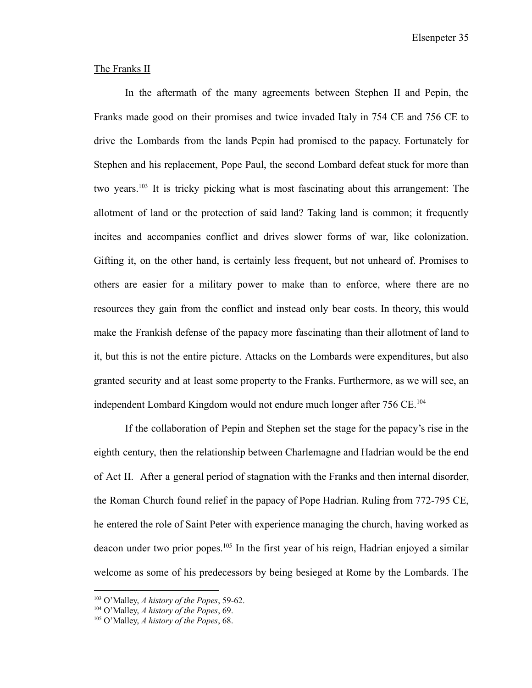Elsenpeter 35

#### The Franks II

In the aftermath of the many agreements between Stephen II and Pepin, the Franks made good on their promises and twice invaded Italy in 754 CE and 756 CE to drive the Lombards from the lands Pepin had promised to the papacy. Fortunately for Stephen and his replacement, Pope Paul, the second Lombard defeat stuck for more than two years.<sup>103</sup> It is tricky picking what is most fascinating about this arrangement: The allotment of land or the protection of said land? Taking land is common; it frequently incites and accompanies conflict and drives slower forms of war, like colonization. Gifting it, on the other hand, is certainly less frequent, but not unheard of. Promises to others are easier for a military power to make than to enforce, where there are no resources they gain from the conflict and instead only bear costs. In theory, this would make the Frankish defense of the papacy more fascinating than their allotment of land to it, but this is not the entire picture. Attacks on the Lombards were expenditures, but also granted security and at least some property to the Franks. Furthermore, as we will see, an independent Lombard Kingdom would not endure much longer after 756 CE.<sup>104</sup>

If the collaboration of Pepin and Stephen set the stage for the papacy's rise in the eighth century, then the relationship between Charlemagne and Hadrian would be the end of Act II. After a general period of stagnation with the Franks and then internal disorder, the Roman Church found relief in the papacy of Pope Hadrian. Ruling from 772-795 CE, he entered the role of Saint Peter with experience managing the church, having worked as deacon under two prior popes.<sup>105</sup> In the first year of his reign, Hadrian enjoyed a similar welcome as some of his predecessors by being besieged at Rome by the Lombards. The

<sup>103</sup> O'Malley, *A history of the Popes*, 59-62.

<sup>104</sup> O'Malley, *A history of the Popes*, 69.

<sup>105</sup> O'Malley, *A history of the Popes*, 68.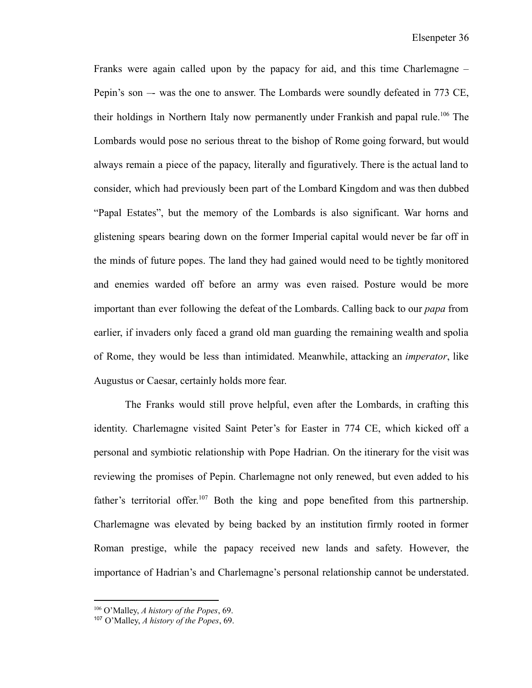Franks were again called upon by the papacy for aid, and this time Charlemagne – Pepin's son –- was the one to answer. The Lombards were soundly defeated in 773 CE, their holdings in Northern Italy now permanently under Frankish and papal rule.<sup>106</sup> The Lombards would pose no serious threat to the bishop of Rome going forward, but would always remain a piece of the papacy, literally and figuratively. There is the actual land to consider, which had previously been part of the Lombard Kingdom and was then dubbed "Papal Estates", but the memory of the Lombards is also significant. War horns and glistening spears bearing down on the former Imperial capital would never be far off in the minds of future popes. The land they had gained would need to be tightly monitored and enemies warded off before an army was even raised. Posture would be more important than ever following the defeat of the Lombards. Calling back to our *papa* from earlier, if invaders only faced a grand old man guarding the remaining wealth and spolia of Rome, they would be less than intimidated. Meanwhile, attacking an *imperator*, like Augustus or Caesar, certainly holds more fear.

The Franks would still prove helpful, even after the Lombards, in crafting this identity. Charlemagne visited Saint Peter's for Easter in 774 CE, which kicked off a personal and symbiotic relationship with Pope Hadrian. On the itinerary for the visit was reviewing the promises of Pepin. Charlemagne not only renewed, but even added to his father's territorial offer.<sup>107</sup> Both the king and pope benefited from this partnership. Charlemagne was elevated by being backed by an institution firmly rooted in former Roman prestige, while the papacy received new lands and safety. However, the importance of Hadrian's and Charlemagne's personal relationship cannot be understated.

<sup>106</sup> O'Malley, *A history of the Popes*, 69.

<sup>107</sup> O'Malley, *A history of the Popes*, 69.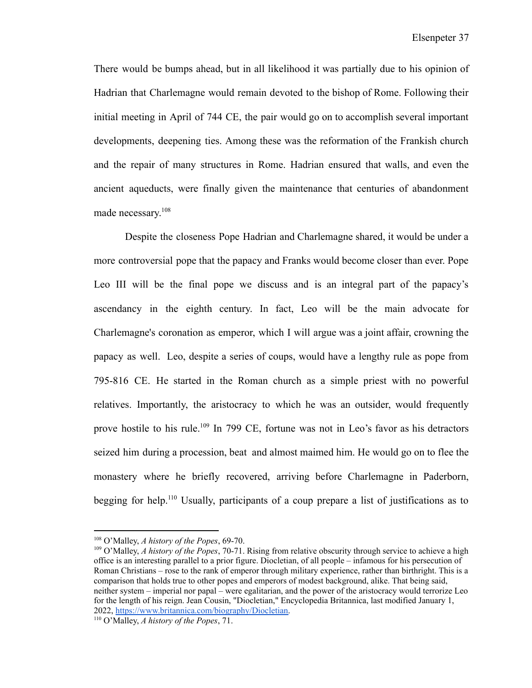There would be bumps ahead, but in all likelihood it was partially due to his opinion of Hadrian that Charlemagne would remain devoted to the bishop of Rome. Following their initial meeting in April of 744 CE, the pair would go on to accomplish several important developments, deepening ties. Among these was the reformation of the Frankish church and the repair of many structures in Rome. Hadrian ensured that walls, and even the ancient aqueducts, were finally given the maintenance that centuries of abandonment made necessary. 108

Despite the closeness Pope Hadrian and Charlemagne shared, it would be under a more controversial pope that the papacy and Franks would become closer than ever. Pope Leo III will be the final pope we discuss and is an integral part of the papacy's ascendancy in the eighth century. In fact, Leo will be the main advocate for Charlemagne's coronation as emperor, which I will argue was a joint affair, crowning the papacy as well. Leo, despite a series of coups, would have a lengthy rule as pope from 795-816 CE. He started in the Roman church as a simple priest with no powerful relatives. Importantly, the aristocracy to which he was an outsider, would frequently prove hostile to his rule.<sup>109</sup> In 799 CE, fortune was not in Leo's favor as his detractors seized him during a procession, beat and almost maimed him. He would go on to flee the monastery where he briefly recovered, arriving before Charlemagne in Paderborn, begging for help.<sup>110</sup> Usually, participants of a coup prepare a list of justifications as to

<sup>108</sup> O'Malley, *A history of the Popes*, 69-70.

<sup>109</sup> O'Malley, *A history of the Popes*, 70-71. Rising from relative obscurity through service to achieve a high office is an interesting parallel to a prior figure. Diocletian, of all people – infamous for his persecution of Roman Christians – rose to the rank of emperor through military experience, rather than birthright. This is a comparison that holds true to other popes and emperors of modest background, alike. That being said, neither system – imperial nor papal – were egalitarian, and the power of the aristocracy would terrorize Leo for the length of his reign. Jean Cousin, "Diocletian," Encyclopedia Britannica, last modified January 1, 2022, [https://www.britannica.com/biography/Diocletian.](https://www.britannica.com/biography/Diocletian)

<sup>110</sup> O'Malley, *A history of the Popes*, 71.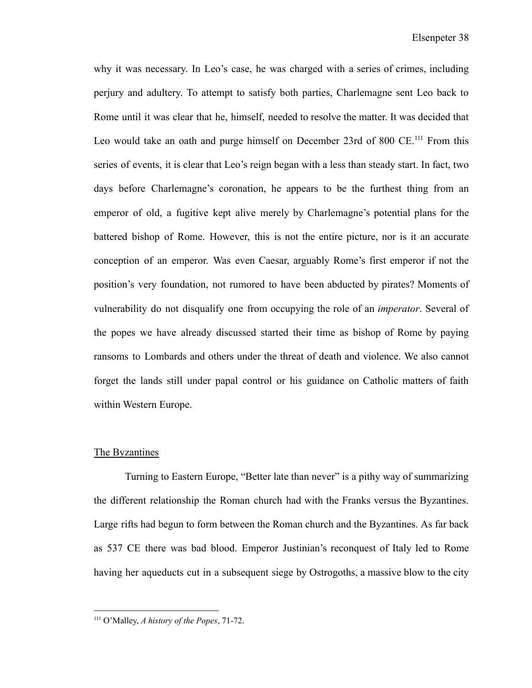why it was necessary. In Leo's case, he was charged with a series of crimes, including perjury and adultery. To attempt to satisfy both parties, Charlemagne sent Leo back to Rome until it was clear that he, himself, needed to resolve the matter. It was decided that Leo would take an oath and purge himself on December 23rd of 800 CE.<sup>111</sup> From this series of events, it is clear that Leo's reign began with a less than steady start. In fact, two days before Charlemagne's coronation, he appears to be the furthest thing from an emperor of old, a fugitive kept alive merely by Charlemagne's potential plans for the battered bishop of Rome. However, this is not the entire picture, nor is it an accurate conception of an emperor. Was even Caesar, arguably Rome's first emperor if not the position's very foundation, not rumored to have been abducted by pirates? Moments of vulnerability do not disqualify one from occupying the role of an *imperator*. Several of the popes we have already discussed started their time as bishop of Rome by paying ransoms to Lombards and others under the threat of death and violence. We also cannot forget the lands still under papal control or his guidance on Catholic matters of faith within Western Europe.

#### The Byzantines

Turning to Eastern Europe, "Better late than never" is a pithy way of summarizing the different relationship the Roman church had with the Franks versus the Byzantines. Large rifts had begun to form between the Roman church and the Byzantines. As far back as 537 CE there was bad blood. Emperor Justinian's reconquest of Italy led to Rome having her aqueducts cut in a subsequent siege by Ostrogoths, a massive blow to the city

<sup>111</sup> O'Malley, *A history of the Popes*, 71-72.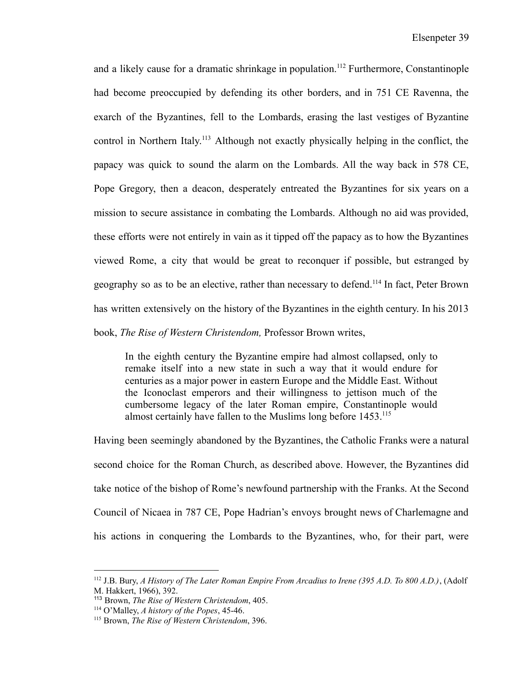and a likely cause for a dramatic shrinkage in population.<sup>112</sup> Furthermore, Constantinople had become preoccupied by defending its other borders, and in 751 CE Ravenna, the exarch of the Byzantines, fell to the Lombards, erasing the last vestiges of Byzantine control in Northern Italy. <sup>113</sup> Although not exactly physically helping in the conflict, the papacy was quick to sound the alarm on the Lombards. All the way back in 578 CE, Pope Gregory, then a deacon, desperately entreated the Byzantines for six years on a mission to secure assistance in combating the Lombards. Although no aid was provided, these efforts were not entirely in vain as it tipped off the papacy as to how the Byzantines viewed Rome, a city that would be great to reconquer if possible, but estranged by geography so as to be an elective, rather than necessary to defend.<sup>114</sup> In fact, Peter Brown has written extensively on the history of the Byzantines in the eighth century. In his 2013 book, *The Rise of Western Christendom,* Professor Brown writes,

In the eighth century the Byzantine empire had almost collapsed, only to remake itself into a new state in such a way that it would endure for centuries as a major power in eastern Europe and the Middle East. Without the Iconoclast emperors and their willingness to jettison much of the cumbersome legacy of the later Roman empire, Constantinople would almost certainly have fallen to the Muslims long before 1453.<sup>115</sup>

Having been seemingly abandoned by the Byzantines, the Catholic Franks were a natural second choice for the Roman Church, as described above. However, the Byzantines did take notice of the bishop of Rome's newfound partnership with the Franks. At the Second Council of Nicaea in 787 CE, Pope Hadrian's envoys brought news of Charlemagne and his actions in conquering the Lombards to the Byzantines, who, for their part, were

<sup>112</sup> J.B. Bury, *A History of The Later Roman Empire From Arcadius to Irene (395 A.D. To 800 A.D.)*, (Adolf M. Hakkert, 1966), 392.

<sup>113</sup> Brown, *The Rise of Western Christendom*, 405.

 $114$  O'Malley, *A history of the Popes*, 45-46.

<sup>115</sup> Brown, *The Rise of Western Christendom*, 396.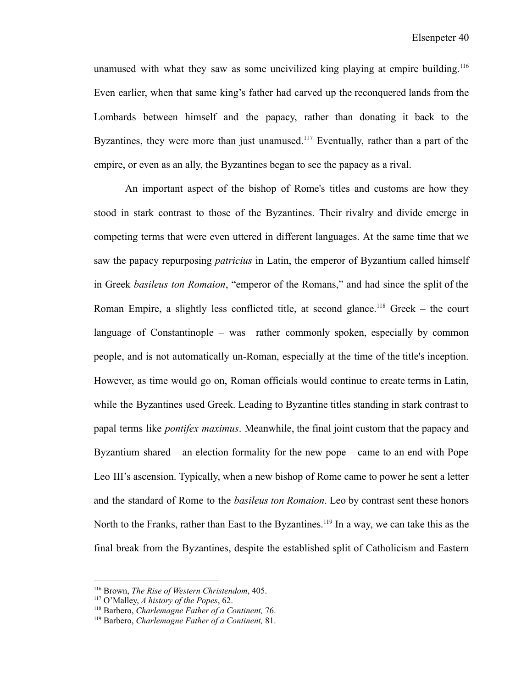unamused with what they saw as some uncivilized king playing at empire building.<sup>116</sup> Even earlier, when that same king's father had carved up the reconquered lands from the Lombards between himself and the papacy, rather than donating it back to the Byzantines, they were more than just unamused.<sup>117</sup> Eventually, rather than a part of the empire, or even as an ally, the Byzantines began to see the papacy as a rival.

An important aspect of the bishop of Rome's titles and customs are how they stood in stark contrast to those of the Byzantines. Their rivalry and divide emerge in competing terms that were even uttered in different languages. At the same time that we saw the papacy repurposing *patricius* in Latin, the emperor of Byzantium called himself in Greek *basileus ton Romaion*, "emperor of the Romans," and had since the split of the Roman Empire, a slightly less conflicted title, at second glance.<sup>118</sup> Greek – the court language of Constantinople – was rather commonly spoken, especially by common people, and is not automatically un-Roman, especially at the time of the title's inception. However, as time would go on, Roman officials would continue to create terms in Latin, while the Byzantines used Greek. Leading to Byzantine titles standing in stark contrast to papal terms like *pontifex maximus*. Meanwhile, the final joint custom that the papacy and Byzantium shared – an election formality for the new pope – came to an end with Pope Leo III's ascension. Typically, when a new bishop of Rome came to power he sent a letter and the standard of Rome to the *basileus ton Romaion*. Leo by contrast sent these honors North to the Franks, rather than East to the Byzantines.<sup>119</sup> In a way, we can take this as the final break from the Byzantines, despite the established split of Catholicism and Eastern

<sup>116</sup> Brown, *The Rise of Western Christendom*, 405.

<sup>117</sup> O'Malley, *A history of the Popes*, 62.

<sup>118</sup> Barbero, *Charlemagne Father of a Continent,* 76.

<sup>119</sup> Barbero, *Charlemagne Father of a Continent,* 81.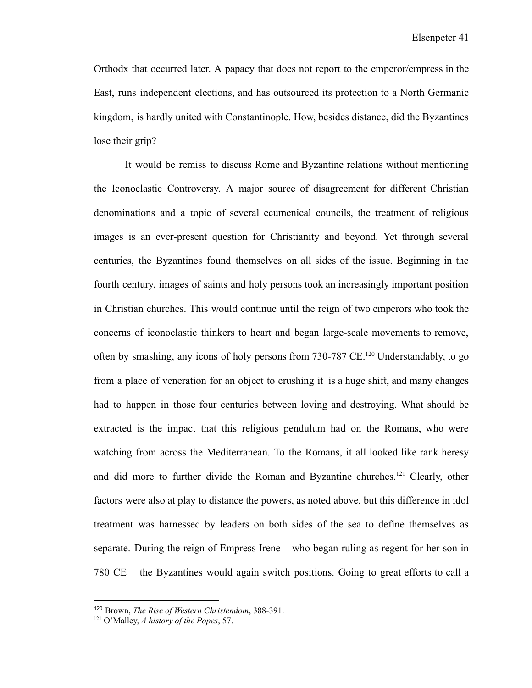Orthodx that occurred later. A papacy that does not report to the emperor/empress in the East, runs independent elections, and has outsourced its protection to a North Germanic kingdom, is hardly united with Constantinople. How, besides distance, did the Byzantines lose their grip?

It would be remiss to discuss Rome and Byzantine relations without mentioning the Iconoclastic Controversy. A major source of disagreement for different Christian denominations and a topic of several ecumenical councils, the treatment of religious images is an ever-present question for Christianity and beyond. Yet through several centuries, the Byzantines found themselves on all sides of the issue. Beginning in the fourth century, images of saints and holy persons took an increasingly important position in Christian churches. This would continue until the reign of two emperors who took the concerns of iconoclastic thinkers to heart and began large-scale movements to remove, often by smashing, any icons of holy persons from 730-787 CE.<sup>120</sup> Understandably, to go from a place of veneration for an object to crushing it is a huge shift, and many changes had to happen in those four centuries between loving and destroying. What should be extracted is the impact that this religious pendulum had on the Romans, who were watching from across the Mediterranean. To the Romans, it all looked like rank heresy and did more to further divide the Roman and Byzantine churches.<sup>121</sup> Clearly, other factors were also at play to distance the powers, as noted above, but this difference in idol treatment was harnessed by leaders on both sides of the sea to define themselves as separate. During the reign of Empress Irene – who began ruling as regent for her son in 780 CE – the Byzantines would again switch positions. Going to great efforts to call a

<sup>120</sup> Brown, *The Rise of Western Christendom*, 388-391.

<sup>121</sup> O'Malley, *A history of the Popes*, 57.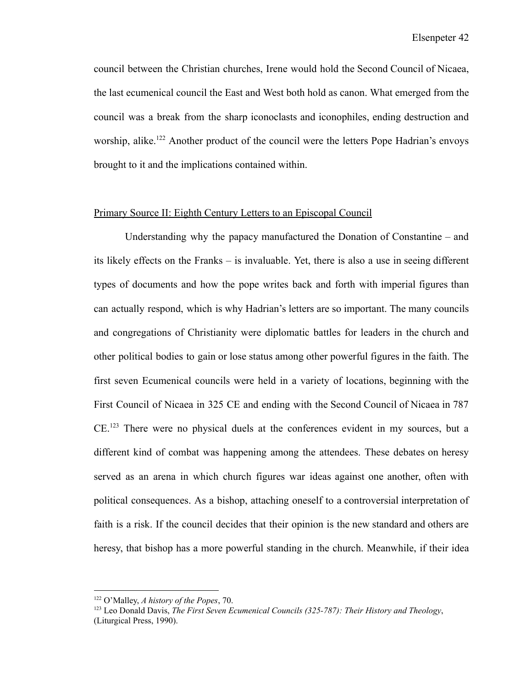council between the Christian churches, Irene would hold the Second Council of Nicaea, the last ecumenical council the East and West both hold as canon. What emerged from the council was a break from the sharp iconoclasts and iconophiles, ending destruction and worship, alike.<sup>122</sup> Another product of the council were the letters Pope Hadrian's envoys brought to it and the implications contained within.

#### Primary Source II: Eighth Century Letters to an Episcopal Council

Understanding why the papacy manufactured the Donation of Constantine – and its likely effects on the Franks – is invaluable. Yet, there is also a use in seeing different types of documents and how the pope writes back and forth with imperial figures than can actually respond, which is why Hadrian's letters are so important. The many councils and congregations of Christianity were diplomatic battles for leaders in the church and other political bodies to gain or lose status among other powerful figures in the faith. The first seven Ecumenical councils were held in a variety of locations, beginning with the First Council of Nicaea in 325 CE and ending with the Second Council of Nicaea in 787 CE.<sup>123</sup> There were no physical duels at the conferences evident in my sources, but a different kind of combat was happening among the attendees. These debates on heresy served as an arena in which church figures war ideas against one another, often with political consequences. As a bishop, attaching oneself to a controversial interpretation of faith is a risk. If the council decides that their opinion is the new standard and others are heresy, that bishop has a more powerful standing in the church. Meanwhile, if their idea

<sup>122</sup> O'Malley, *A history of the Popes*, 70.

<sup>123</sup> Leo Donald Davis, *The First Seven Ecumenical Councils (325-787): Their History and Theology*, (Liturgical Press, 1990).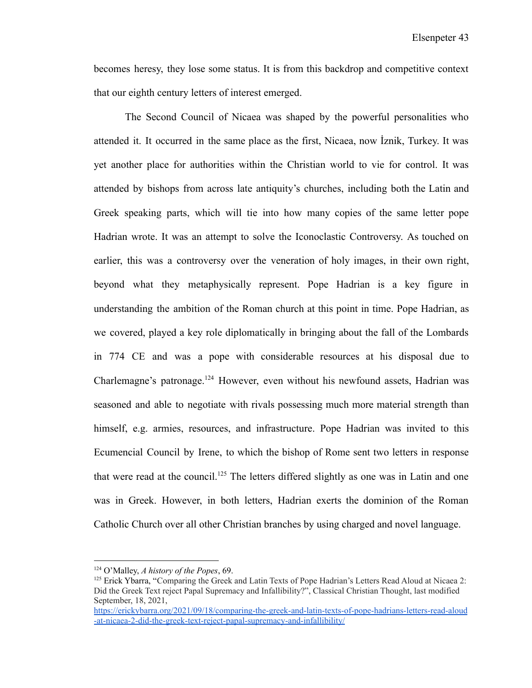becomes heresy, they lose some status. It is from this backdrop and competitive context that our eighth century letters of interest emerged.

The Second Council of Nicaea was shaped by the powerful personalities who attended it. It occurred in the same place as the first, Nicaea, now İznik, Turkey. It was yet another place for authorities within the Christian world to vie for control. It was attended by bishops from across late antiquity's churches, including both the Latin and Greek speaking parts, which will tie into how many copies of the same letter pope Hadrian wrote. It was an attempt to solve the Iconoclastic Controversy. As touched on earlier, this was a controversy over the veneration of holy images, in their own right, beyond what they metaphysically represent. Pope Hadrian is a key figure in understanding the ambition of the Roman church at this point in time. Pope Hadrian, as we covered, played a key role diplomatically in bringing about the fall of the Lombards in 774 CE and was a pope with considerable resources at his disposal due to Charlemagne's patronage.<sup>124</sup> However, even without his newfound assets, Hadrian was seasoned and able to negotiate with rivals possessing much more material strength than himself, e.g. armies, resources, and infrastructure. Pope Hadrian was invited to this Ecumencial Council by Irene, to which the bishop of Rome sent two letters in response that were read at the council.<sup>125</sup> The letters differed slightly as one was in Latin and one was in Greek. However, in both letters, Hadrian exerts the dominion of the Roman Catholic Church over all other Christian branches by using charged and novel language.

<sup>124</sup> O'Malley, *A history of the Popes*, 69.

<sup>&</sup>lt;sup>125</sup> Erick Ybarra, "Comparing the Greek and Latin Texts of Pope Hadrian's Letters Read Aloud at Nicaea 2: Did the Greek Text reject Papal Supremacy and Infallibility?", Classical Christian Thought, last modified September, 18, 2021,

[https://erickybarra.org/2021/09/18/comparing-the-greek-and-latin-texts-of-pope-hadrians-letters-read-aloud](https://erickybarra.org/2021/09/18/comparing-the-greek-and-latin-texts-of-pope-hadrians-letters-read-aloud-at-nicaea-2-did-the-greek-text-reject-papal-supremacy-and-infallibility/) [-at-nicaea-2-did-the-greek-text-reject-papal-supremacy-and-infallibility/](https://erickybarra.org/2021/09/18/comparing-the-greek-and-latin-texts-of-pope-hadrians-letters-read-aloud-at-nicaea-2-did-the-greek-text-reject-papal-supremacy-and-infallibility/)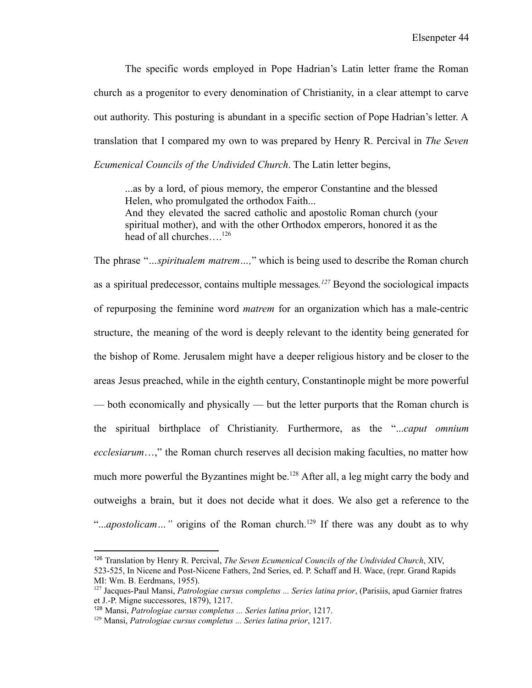The specific words employed in Pope Hadrian's Latin letter frame the Roman church as a progenitor to every denomination of Christianity, in a clear attempt to carve out authority. This posturing is abundant in a specific section of Pope Hadrian's letter. A translation that I compared my own to was prepared by Henry R. Percival in *The Seven Ecumenical Councils of the Undivided Church*. The Latin letter begins,

...as by a lord, of pious memory, the emperor Constantine and the blessed Helen, who promulgated the orthodox Faith... And they elevated the sacred catholic and apostolic Roman church (your spiritual mother), and with the other Orthodox emperors, honored it as the head of all churches....<sup>126</sup>

The phrase "*…spiritualem matrem…,*" which is being used to describe the Roman church as a spiritual predecessor, contains multiple messages*. <sup>127</sup>* Beyond the sociological impacts of repurposing the feminine word *matrem* for an organization which has a male-centric structure, the meaning of the word is deeply relevant to the identity being generated for the bishop of Rome. Jerusalem might have a deeper religious history and be closer to the areas Jesus preached, while in the eighth century, Constantinople might be more powerful — both economically and physically — but the letter purports that the Roman church is the spiritual birthplace of Christianity. Furthermore, as the "...*caput omnium ecclesiarum*…," the Roman church reserves all decision making faculties, no matter how much more powerful the Byzantines might be.<sup>128</sup> After all, a leg might carry the body and outweighs a brain, but it does not decide what it does. We also get a reference to the "...*apostolicam*..." origins of the Roman church.<sup>129</sup> If there was any doubt as to why

<sup>126</sup> Translation by Henry R. Percival, *The Seven Ecumenical Councils of the Undivided Church*, XIV,

<sup>523-525,</sup> In Nicene and Post-Nicene Fathers, 2nd Series, ed. P. Schaff and H. Wace, (repr. Grand Rapids MI: Wm. B. Eerdmans, 1955).

<sup>127</sup> Jacques-Paul Mansi, *Patrologiae cursus completus ... Series latina prior*, (Parisiis, apud Garnier fratres et J.-P. Migne successores, 1879), 1217.

<sup>128</sup> Mansi, *Patrologiae cursus completus ... Series latina prior*, 1217.

<sup>129</sup> Mansi, *Patrologiae cursus completus ... Series latina prior*, 1217.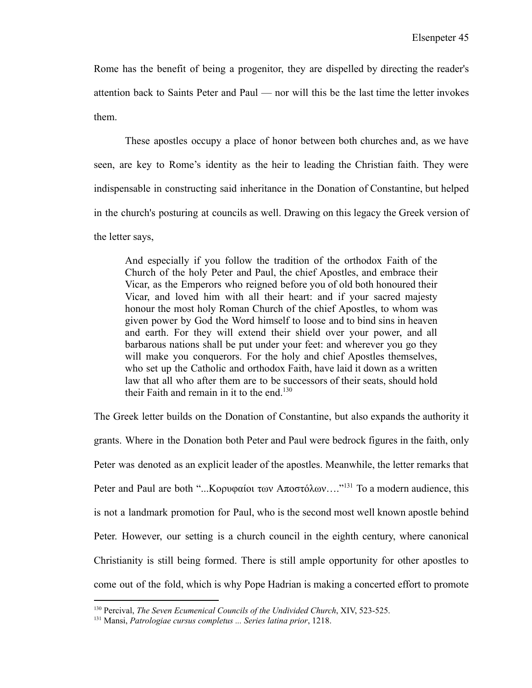Rome has the benefit of being a progenitor, they are dispelled by directing the reader's attention back to Saints Peter and Paul — nor will this be the last time the letter invokes them.

These apostles occupy a place of honor between both churches and, as we have seen, are key to Rome's identity as the heir to leading the Christian faith. They were indispensable in constructing said inheritance in the Donation of Constantine, but helped in the church's posturing at councils as well. Drawing on this legacy the Greek version of the letter says,

And especially if you follow the tradition of the orthodox Faith of the Church of the holy Peter and Paul, the chief Apostles, and embrace their Vicar, as the Emperors who reigned before you of old both honoured their Vicar, and loved him with all their heart: and if your sacred majesty honour the most holy Roman Church of the chief Apostles, to whom was given power by God the Word himself to loose and to bind sins in heaven and earth. For they will extend their shield over your power, and all barbarous nations shall be put under your feet: and wherever you go they will make you conquerors. For the holy and chief Apostles themselves, who set up the Catholic and orthodox Faith, have laid it down as a written law that all who after them are to be successors of their seats, should hold their Faith and remain in it to the end.<sup>130</sup>

The Greek letter builds on the Donation of Constantine, but also expands the authority it grants. Where in the Donation both Peter and Paul were bedrock figures in the faith, only Peter was denoted as an explicit leader of the apostles. Meanwhile, the letter remarks that Peter and Paul are both "...Κορυφαίοι των Αποστόλων…."<sup>131</sup> To a modern audience, this is not a landmark promotion for Paul, who is the second most well known apostle behind Peter. However, our setting is a church council in the eighth century, where canonical Christianity is still being formed. There is still ample opportunity for other apostles to come out of the fold, which is why Pope Hadrian is making a concerted effort to promote

<sup>130</sup> Percival, *The Seven Ecumenical Councils of the Undivided Church*, XIV, 523-525.

<sup>131</sup> Mansi, *Patrologiae cursus completus ... Series latina prior*, 1218.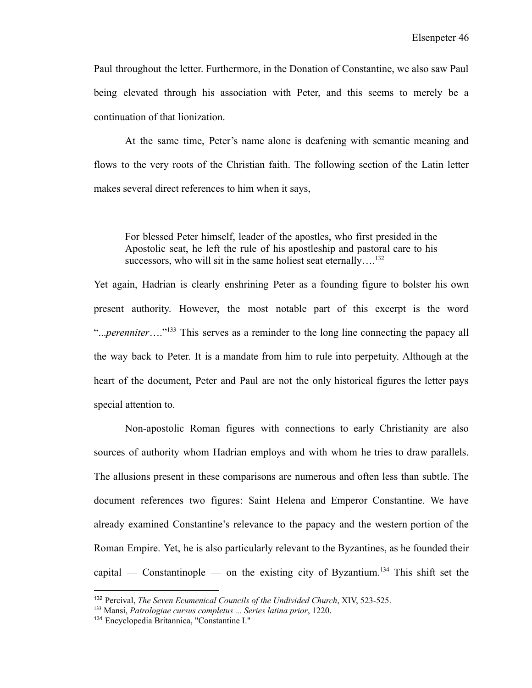Paul throughout the letter. Furthermore, in the Donation of Constantine, we also saw Paul being elevated through his association with Peter, and this seems to merely be a continuation of that lionization.

At the same time, Peter's name alone is deafening with semantic meaning and flows to the very roots of the Christian faith. The following section of the Latin letter makes several direct references to him when it says,

For blessed Peter himself, leader of the apostles, who first presided in the Apostolic seat, he left the rule of his apostleship and pastoral care to his successors, who will sit in the same holiest seat eternally....<sup>132</sup>

Yet again, Hadrian is clearly enshrining Peter as a founding figure to bolster his own present authority. However, the most notable part of this excerpt is the word "...*perenniter*…."<sup>133</sup> This serves as a reminder to the long line connecting the papacy all the way back to Peter. It is a mandate from him to rule into perpetuity. Although at the heart of the document, Peter and Paul are not the only historical figures the letter pays special attention to.

Non-apostolic Roman figures with connections to early Christianity are also sources of authority whom Hadrian employs and with whom he tries to draw parallels. The allusions present in these comparisons are numerous and often less than subtle. The document references two figures: Saint Helena and Emperor Constantine. We have already examined Constantine's relevance to the papacy and the western portion of the Roman Empire. Yet, he is also particularly relevant to the Byzantines, as he founded their capital — Constantinople — on the existing city of Byzantium.<sup>134</sup> This shift set the

<sup>132</sup> Percival, *The Seven Ecumenical Councils of the Undivided Church*, XIV, 523-525.

<sup>133</sup> Mansi, *Patrologiae cursus completus ... Series latina prior*, 1220.

<sup>134</sup> Encyclopedia Britannica, "Constantine I."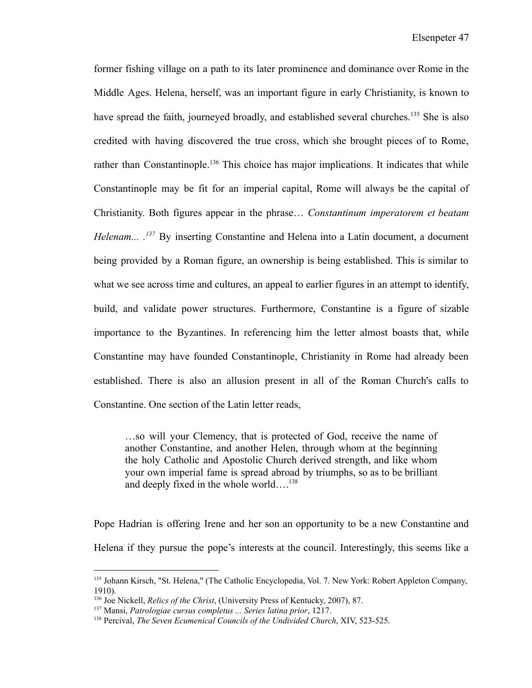former fishing village on a path to its later prominence and dominance over Rome in the Middle Ages. Helena, herself, was an important figure in early Christianity, is known to have spread the faith, journeyed broadly, and established several churches.<sup>135</sup> She is also credited with having discovered the true cross, which she brought pieces of to Rome, rather than Constantinople.<sup>136</sup> This choice has major implications. It indicates that while Constantinople may be fit for an imperial capital, Rome will always be the capital of Christianity. Both figures appear in the phrase… *Constantinum imperatorem et beatam Helenam... . <sup>137</sup>* By inserting Constantine and Helena into a Latin document, a document being provided by a Roman figure, an ownership is being established. This is similar to what we see across time and cultures, an appeal to earlier figures in an attempt to identify, build, and validate power structures. Furthermore, Constantine is a figure of sizable importance to the Byzantines. In referencing him the letter almost boasts that, while Constantine may have founded Constantinople, Christianity in Rome had already been established. There is also an allusion present in all of the Roman Church's calls to Constantine. One section of the Latin letter reads,

…so will your Clemency, that is protected of God, receive the name of another Constantine, and another Helen, through whom at the beginning the holy Catholic and Apostolic Church derived strength, and like whom your own imperial fame is spread abroad by triumphs, so as to be brilliant and deeply fixed in the whole world… $^{138}$ 

Pope Hadrian is offering Irene and her son an opportunity to be a new Constantine and Helena if they pursue the pope's interests at the council. Interestingly, this seems like a

<sup>135</sup> Johann Kirsch, "St. Helena," (The Catholic Encyclopedia, Vol. 7. New York: Robert Appleton Company, 1910).

<sup>136</sup> Joe Nickell, *Relics of the Christ*, (University Press of Kentucky, 2007), 87.

<sup>137</sup> Mansi, *Patrologiae cursus completus ... Series latina prior*, 1217.

<sup>138</sup> Percival, *The Seven Ecumenical Councils of the Undivided Church*, XIV, 523-525.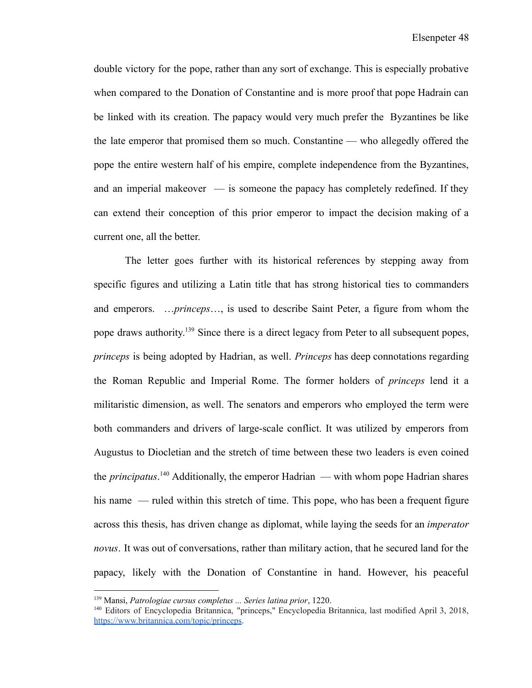double victory for the pope, rather than any sort of exchange. This is especially probative when compared to the Donation of Constantine and is more proof that pope Hadrain can be linked with its creation. The papacy would very much prefer the Byzantines be like the late emperor that promised them so much. Constantine — who allegedly offered the pope the entire western half of his empire, complete independence from the Byzantines, and an imperial makeover — is someone the papacy has completely redefined. If they can extend their conception of this prior emperor to impact the decision making of a current one, all the better.

The letter goes further with its historical references by stepping away from specific figures and utilizing a Latin title that has strong historical ties to commanders and emperors. …*princeps*…, is used to describe Saint Peter, a figure from whom the pope draws authority.<sup>139</sup> Since there is a direct legacy from Peter to all subsequent popes, *princeps* is being adopted by Hadrian, as well. *Princeps* has deep connotations regarding the Roman Republic and Imperial Rome. The former holders of *princeps* lend it a militaristic dimension, as well. The senators and emperors who employed the term were both commanders and drivers of large-scale conflict. It was utilized by emperors from Augustus to Diocletian and the stretch of time between these two leaders is even coined the *principatus*. <sup>140</sup> Additionally, the emperor Hadrian — with whom pope Hadrian shares his name — ruled within this stretch of time. This pope, who has been a frequent figure across this thesis, has driven change as diplomat, while laying the seeds for an *imperator novus*. It was out of conversations, rather than military action, that he secured land for the papacy, likely with the Donation of Constantine in hand. However, his peaceful

<sup>139</sup> Mansi, *Patrologiae cursus completus ... Series latina prior*, 1220.

<sup>140</sup> Editors of Encyclopedia Britannica, "princeps," Encyclopedia Britannica, last modified April 3, 2018, <https://www.britannica.com/topic/princeps>.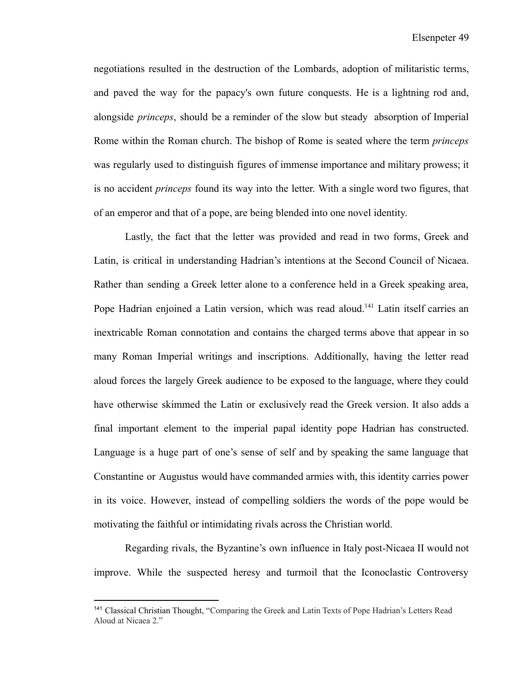negotiations resulted in the destruction of the Lombards, adoption of militaristic terms, and paved the way for the papacy's own future conquests. He is a lightning rod and, alongside *princeps*, should be a reminder of the slow but steady absorption of Imperial Rome within the Roman church. The bishop of Rome is seated where the term *princeps* was regularly used to distinguish figures of immense importance and military prowess; it is no accident *princeps* found its way into the letter. With a single word two figures, that of an emperor and that of a pope, are being blended into one novel identity.

Lastly, the fact that the letter was provided and read in two forms, Greek and Latin, is critical in understanding Hadrian's intentions at the Second Council of Nicaea. Rather than sending a Greek letter alone to a conference held in a Greek speaking area, Pope Hadrian enjoined a Latin version, which was read aloud.<sup>141</sup> Latin itself carries an inextricable Roman connotation and contains the charged terms above that appear in so many Roman Imperial writings and inscriptions. Additionally, having the letter read aloud forces the largely Greek audience to be exposed to the language, where they could have otherwise skimmed the Latin or exclusively read the Greek version. It also adds a final important element to the imperial papal identity pope Hadrian has constructed. Language is a huge part of one's sense of self and by speaking the same language that Constantine or Augustus would have commanded armies with, this identity carries power in its voice. However, instead of compelling soldiers the words of the pope would be motivating the faithful or intimidating rivals across the Christian world.

Regarding rivals, the Byzantine's own influence in Italy post-Nicaea II would not improve. While the suspected heresy and turmoil that the Iconoclastic Controversy

<sup>&</sup>lt;sup>141</sup> Classical Christian Thought, "Comparing the Greek and Latin Texts of Pope Hadrian's Letters Read Aloud at Nicaea 2."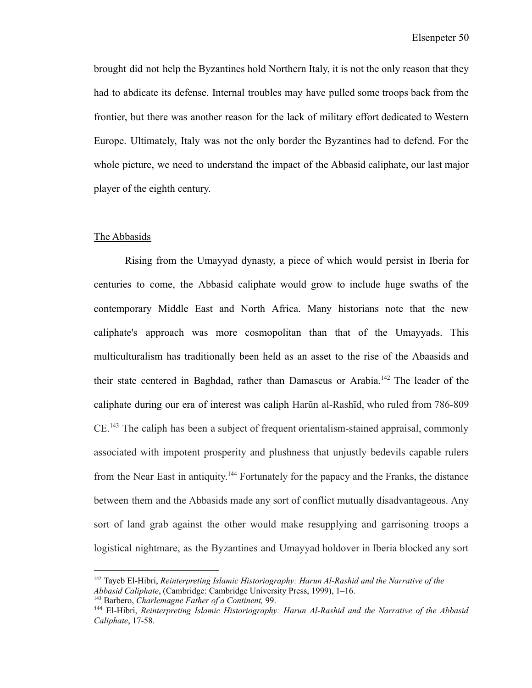brought did not help the Byzantines hold Northern Italy, it is not the only reason that they had to abdicate its defense. Internal troubles may have pulled some troops back from the frontier, but there was another reason for the lack of military effort dedicated to Western Europe. Ultimately, Italy was not the only border the Byzantines had to defend. For the whole picture, we need to understand the impact of the Abbasid caliphate, our last major player of the eighth century.

#### The Abbasids

Rising from the Umayyad dynasty, a piece of which would persist in Iberia for centuries to come, the Abbasid caliphate would grow to include huge swaths of the contemporary Middle East and North Africa. Many historians note that the new caliphate's approach was more cosmopolitan than that of the Umayyads. This multiculturalism has traditionally been held as an asset to the rise of the Abaasids and their state centered in Baghdad, rather than Damascus or Arabia.<sup>142</sup> The leader of the caliphate during our era of interest was caliph Harūn al-Rashīd, who ruled from 786-809 CE.<sup>143</sup> The caliph has been a subject of frequent orientalism-stained appraisal, commonly associated with impotent prosperity and plushness that unjustly bedevils capable rulers from the Near East in antiquity.<sup>144</sup> Fortunately for the papacy and the Franks, the distance between them and the Abbasids made any sort of conflict mutually disadvantageous. Any sort of land grab against the other would make resupplying and garrisoning troops a logistical nightmare, as the Byzantines and Umayyad holdover in Iberia blocked any sort

<sup>142</sup> Tayeb El-Hibri, *Reinterpreting Islamic Historiography: Harun Al-Rashid and the Narrative of the Abbasid Caliphate*, (Cambridge: Cambridge University Press, 1999), 1–16.

<sup>143</sup> Barbero, *Charlemagne Father of a Continent,* 99.

<sup>144</sup> El-Hibri, *Reinterpreting Islamic Historiography: Harun Al-Rashid and the Narrative of the Abbasid Caliphate*, 17-58.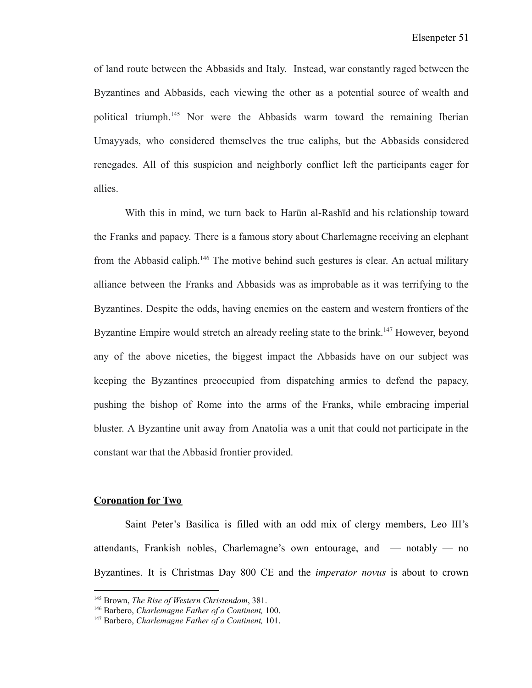of land route between the Abbasids and Italy. Instead, war constantly raged between the Byzantines and Abbasids, each viewing the other as a potential source of wealth and political triumph.<sup>145</sup> Nor were the Abbasids warm toward the remaining Iberian Umayyads, who considered themselves the true caliphs, but the Abbasids considered renegades. All of this suspicion and neighborly conflict left the participants eager for allies.

With this in mind, we turn back to Harūn al-Rashīd and his relationship toward the Franks and papacy. There is a famous story about Charlemagne receiving an elephant from the Abbasid caliph.<sup>146</sup> The motive behind such gestures is clear. An actual military alliance between the Franks and Abbasids was as improbable as it was terrifying to the Byzantines. Despite the odds, having enemies on the eastern and western frontiers of the Byzantine Empire would stretch an already reeling state to the brink.<sup>147</sup> However, beyond any of the above niceties, the biggest impact the Abbasids have on our subject was keeping the Byzantines preoccupied from dispatching armies to defend the papacy, pushing the bishop of Rome into the arms of the Franks, while embracing imperial bluster. A Byzantine unit away from Anatolia was a unit that could not participate in the constant war that the Abbasid frontier provided.

#### **Coronation for Two**

Saint Peter's Basilica is filled with an odd mix of clergy members, Leo III's attendants, Frankish nobles, Charlemagne's own entourage, and — notably — no Byzantines. It is Christmas Day 800 CE and the *imperator novus* is about to crown

<sup>145</sup> Brown, *The Rise of Western Christendom*, 381.

<sup>146</sup> Barbero, *Charlemagne Father of a Continent,* 100.

<sup>147</sup> Barbero, *Charlemagne Father of a Continent,* 101.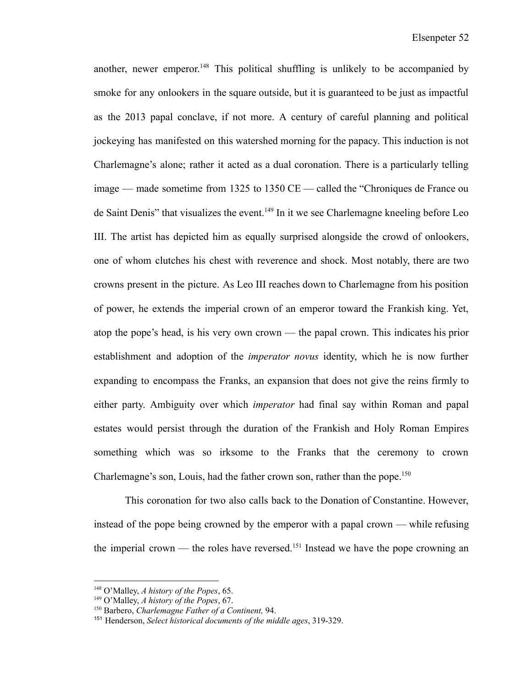another, newer emperor. <sup>148</sup> This political shuffling is unlikely to be accompanied by smoke for any onlookers in the square outside, but it is guaranteed to be just as impactful as the 2013 papal conclave, if not more. A century of careful planning and political jockeying has manifested on this watershed morning for the papacy. This induction is not Charlemagne's alone; rather it acted as a dual coronation. There is a particularly telling image — made sometime from 1325 to 1350 CE — called the "Chroniques de France ou de Saint Denis" that visualizes the event.<sup>149</sup> In it we see Charlemagne kneeling before Leo III. The artist has depicted him as equally surprised alongside the crowd of onlookers, one of whom clutches his chest with reverence and shock. Most notably, there are two crowns present in the picture. As Leo III reaches down to Charlemagne from his position of power, he extends the imperial crown of an emperor toward the Frankish king. Yet, atop the pope's head, is his very own crown — the papal crown. This indicates his prior establishment and adoption of the *imperator novus* identity, which he is now further expanding to encompass the Franks, an expansion that does not give the reins firmly to either party. Ambiguity over which *imperator* had final say within Roman and papal estates would persist through the duration of the Frankish and Holy Roman Empires something which was so irksome to the Franks that the ceremony to crown Charlemagne's son, Louis, had the father crown son, rather than the pope.<sup>150</sup>

This coronation for two also calls back to the Donation of Constantine. However, instead of the pope being crowned by the emperor with a papal crown — while refusing the imperial crown — the roles have reversed.<sup>151</sup> Instead we have the pope crowning an

<sup>148</sup> O'Malley, *A history of the Popes*, 65.

<sup>149</sup> O'Malley, *A history of the Popes*, 67.

<sup>150</sup> Barbero, *Charlemagne Father of a Continent,* 94.

<sup>151</sup> Henderson, *Select historical documents of the middle ages*, 319-329.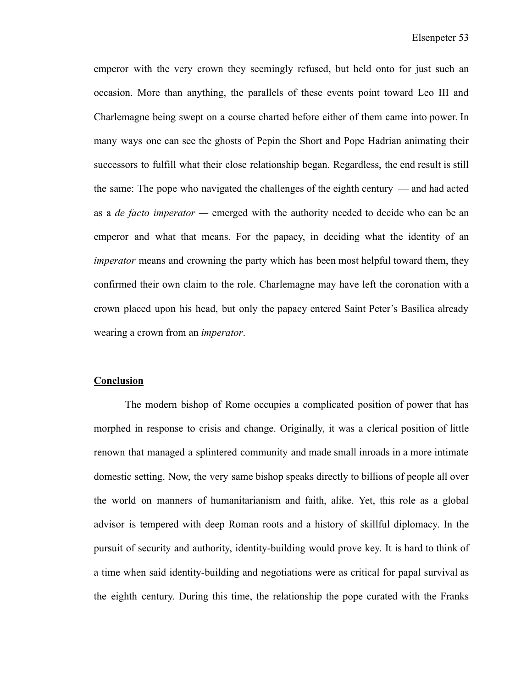emperor with the very crown they seemingly refused, but held onto for just such an occasion. More than anything, the parallels of these events point toward Leo III and Charlemagne being swept on a course charted before either of them came into power. In many ways one can see the ghosts of Pepin the Short and Pope Hadrian animating their successors to fulfill what their close relationship began. Regardless, the end result is still the same: The pope who navigated the challenges of the eighth century — and had acted as a *de facto imperator —* emerged with the authority needed to decide who can be an emperor and what that means. For the papacy, in deciding what the identity of an *imperator* means and crowning the party which has been most helpful toward them, they confirmed their own claim to the role. Charlemagne may have left the coronation with a crown placed upon his head, but only the papacy entered Saint Peter's Basilica already wearing a crown from an *imperator*.

#### **Conclusion**

The modern bishop of Rome occupies a complicated position of power that has morphed in response to crisis and change. Originally, it was a clerical position of little renown that managed a splintered community and made small inroads in a more intimate domestic setting. Now, the very same bishop speaks directly to billions of people all over the world on manners of humanitarianism and faith, alike. Yet, this role as a global advisor is tempered with deep Roman roots and a history of skillful diplomacy. In the pursuit of security and authority, identity-building would prove key. It is hard to think of a time when said identity-building and negotiations were as critical for papal survival as the eighth century. During this time, the relationship the pope curated with the Franks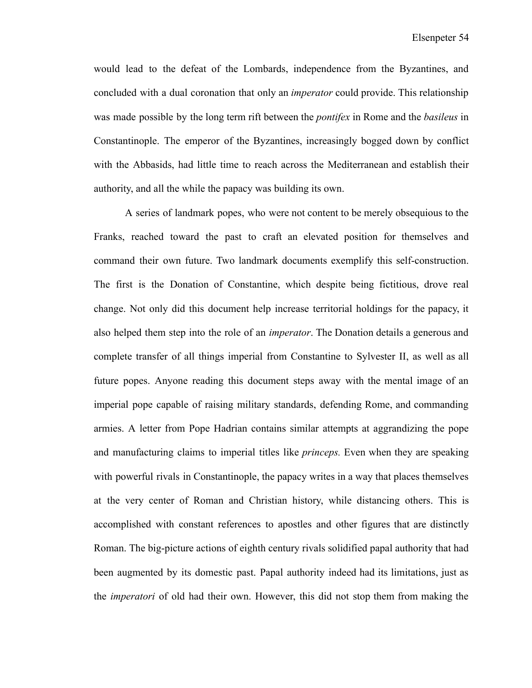would lead to the defeat of the Lombards, independence from the Byzantines, and concluded with a dual coronation that only an *imperator* could provide. This relationship was made possible by the long term rift between the *pontifex* in Rome and the *basileus* in Constantinople. The emperor of the Byzantines, increasingly bogged down by conflict with the Abbasids, had little time to reach across the Mediterranean and establish their authority, and all the while the papacy was building its own.

A series of landmark popes, who were not content to be merely obsequious to the Franks, reached toward the past to craft an elevated position for themselves and command their own future. Two landmark documents exemplify this self-construction. The first is the Donation of Constantine, which despite being fictitious, drove real change. Not only did this document help increase territorial holdings for the papacy, it also helped them step into the role of an *imperator*. The Donation details a generous and complete transfer of all things imperial from Constantine to Sylvester II, as well as all future popes. Anyone reading this document steps away with the mental image of an imperial pope capable of raising military standards, defending Rome, and commanding armies. A letter from Pope Hadrian contains similar attempts at aggrandizing the pope and manufacturing claims to imperial titles like *princeps.* Even when they are speaking with powerful rivals in Constantinople, the papacy writes in a way that places themselves at the very center of Roman and Christian history, while distancing others. This is accomplished with constant references to apostles and other figures that are distinctly Roman. The big-picture actions of eighth century rivals solidified papal authority that had been augmented by its domestic past. Papal authority indeed had its limitations, just as the *imperatori* of old had their own. However, this did not stop them from making the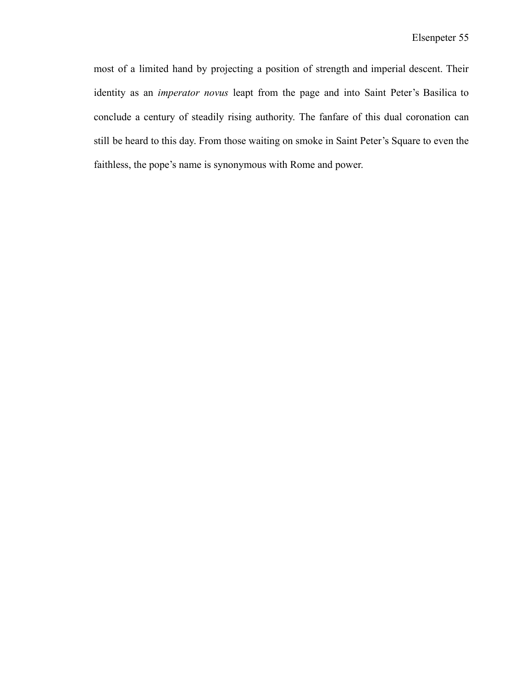most of a limited hand by projecting a position of strength and imperial descent. Their identity as an *imperator novus* leapt from the page and into Saint Peter's Basilica to conclude a century of steadily rising authority. The fanfare of this dual coronation can still be heard to this day. From those waiting on smoke in Saint Peter's Square to even the faithless, the pope's name is synonymous with Rome and power.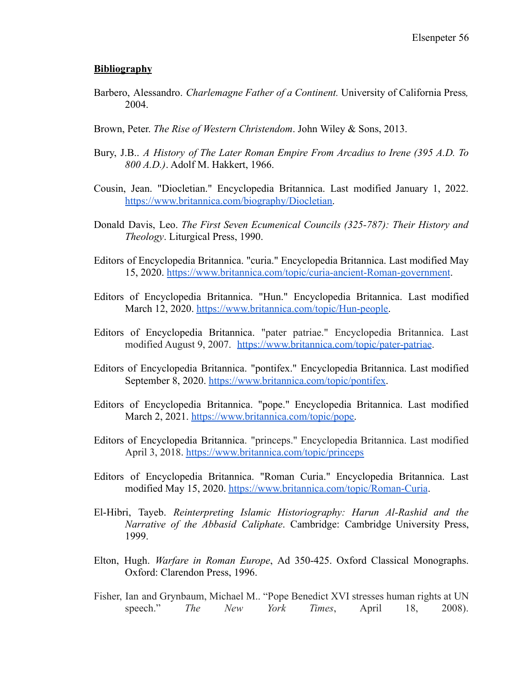#### **Bibliography**

- Barbero, Alessandro. *Charlemagne Father of a Continent.* University of California Press*,* 2004.
- Brown, Peter. *The Rise of Western Christendom*. John Wiley & Sons, 2013.
- Bury, J.B.. *A History of The Later Roman Empire From Arcadius to Irene (395 A.D. To 800 A.D.)*. Adolf M. Hakkert, 1966.
- Cousin, Jean. "Diocletian." Encyclopedia Britannica. Last modified January 1, 2022. <https://www.britannica.com/biography/Diocletian>.
- Donald Davis, Leo. *The First Seven Ecumenical Councils (325-787): Their History and Theology*. Liturgical Press, 1990.
- Editors of Encyclopedia Britannica. "curia." Encyclopedia Britannica. Last modified May 15, 2020. <https://www.britannica.com/topic/curia-ancient-Roman-government>.
- Editors of Encyclopedia Britannica. "Hun." Encyclopedia Britannica. Last modified March 12, 2020. [https://www.britannica.com/topic/Hun-people.](https://www.britannica.com/topic/Hun-people)
- Editors of Encyclopedia Britannica. "pater patriae." Encyclopedia Britannica. Last modified August 9, 2007. <https://www.britannica.com/topic/pater-patriae>.
- Editors of Encyclopedia Britannica. "pontifex." Encyclopedia Britannica. Last modified September 8, 2020. <https://www.britannica.com/topic/pontifex>.
- Editors of Encyclopedia Britannica. "pope." Encyclopedia Britannica. Last modified March 2, 2021. [https://www.britannica.com/topic/pope.](https://www.britannica.com/topic/pope)
- Editors of Encyclopedia Britannica. "princeps." Encyclopedia Britannica. Last modified April 3, 2018. <https://www.britannica.com/topic/princeps>
- Editors of Encyclopedia Britannica. "Roman Curia." Encyclopedia Britannica. Last modified May 15, 2020. <https://www.britannica.com/topic/Roman-Curia>.
- El-Hibri, Tayeb. *Reinterpreting Islamic Historiography: Harun Al-Rashid and the Narrative of the Abbasid Caliphate*. Cambridge: Cambridge University Press, 1999.
- Elton, Hugh. *Warfare in Roman Europe*, Ad 350-425. Oxford Classical Monographs. Oxford: Clarendon Press, 1996.
- Fisher, Ian and Grynbaum, Michael M.. "Pope Benedict XVI stresses human rights at UN speech." *The New York Times*, April 18, 2008).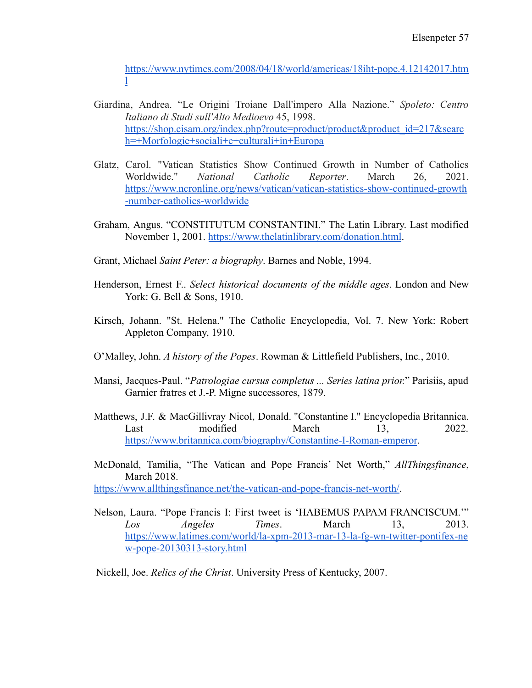[https://www.nytimes.com/2008/04/18/world/americas/18iht-pope.4.12142017.htm](https://www.nytimes.com/2008/04/18/world/americas/18iht-pope.4.12142017.html) [l](https://www.nytimes.com/2008/04/18/world/americas/18iht-pope.4.12142017.html)

- Giardina, Andrea. "Le Origini Troiane Dall'impero Alla Nazione." *Spoleto: Centro Italiano di Studi sull'Alto Medioevo* 45, 1998. [https://shop.cisam.org/index.php?route=product/product&product\\_id=217&searc](https://shop.cisam.org/index.php?route=product/product&product_id=217&search=+Morfologie+sociali+e+culturali+in+Europa) [h=+Morfologie+sociali+e+culturali+in+Europa](https://shop.cisam.org/index.php?route=product/product&product_id=217&search=+Morfologie+sociali+e+culturali+in+Europa)
- Glatz, Carol. "Vatican Statistics Show Continued Growth in Number of Catholics Worldwide." *National Catholic Reporter*. March 26, 2021. [https://www.ncronline.org/news/vatican/vatican-statistics-show-continued-growth](https://www.ncronline.org/news/vatican/vatican-statistics-show-continued-growth-number-catholics-worldwide) [-number-catholics-worldwide](https://www.ncronline.org/news/vatican/vatican-statistics-show-continued-growth-number-catholics-worldwide)
- Graham, Angus. "CONSTITUTUM CONSTANTINI." The Latin Library. Last modified November 1, 2001. <https://www.thelatinlibrary.com/donation.html>.
- Grant, Michael *Saint Peter: a biography*. Barnes and Noble, 1994.
- Henderson, Ernest F.. *Select historical documents of the middle ages*. London and New York: G. Bell & Sons, 1910.
- Kirsch, Johann. "St. Helena." The Catholic Encyclopedia, Vol. 7. New York: Robert Appleton Company, 1910.
- O'Malley, John. *A history of the Popes*. Rowman & Littlefield Publishers, Inc*.*, 2010.
- Mansi, Jacques-Paul. "*Patrologiae cursus completus ... Series latina prior.*" Parisiis, apud Garnier fratres et J.-P. Migne successores, 1879.
- Matthews, J.F. & MacGillivray Nicol, Donald. "Constantine I." Encyclopedia Britannica. Last modified March 13, 2022. <https://www.britannica.com/biography/Constantine-I-Roman-emperor>.
- McDonald, Tamilia, "The Vatican and Pope Francis' Net Worth," *AllThingsfinance*, March 2018.

[https://www.allthingsfinance.net/the-vatican-and-pope-francis-net-worth/.](https://www.allthingsfinance.net/the-vatican-and-pope-francis-net-worth/)

Nelson, Laura. "Pope Francis I: First tweet is 'HABEMUS PAPAM FRANCISCUM.'" *Los Angeles Times*. March 13, 2013. [https://www.latimes.com/world/la-xpm-2013-mar-13-la-fg-wn-twitter-pontifex-ne](https://www.latimes.com/world/la-xpm-2013-mar-13-la-fg-wn-twitter-pontifex-new-pope-20130313-story.html) [w-pope-20130313-story.html](https://www.latimes.com/world/la-xpm-2013-mar-13-la-fg-wn-twitter-pontifex-new-pope-20130313-story.html)

Nickell, Joe. *Relics of the Christ*. University Press of Kentucky, 2007.